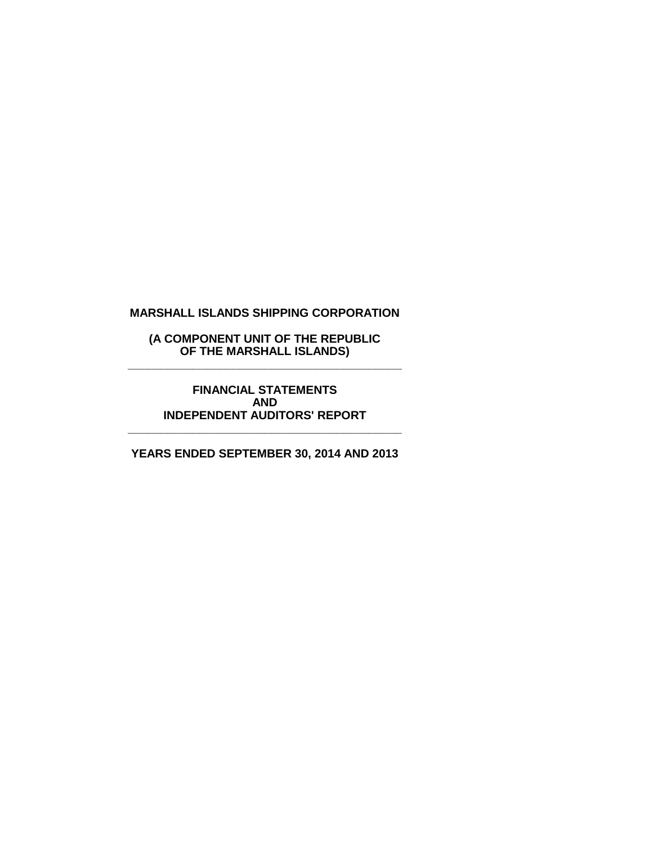## **(A COMPONENT UNIT OF THE REPUBLIC OF THE MARSHALL ISLANDS) \_\_\_\_\_\_\_\_\_\_\_\_\_\_\_\_\_\_\_\_\_\_\_\_\_\_\_\_\_\_\_\_\_\_\_\_\_\_\_\_\_\_**

## **FINANCIAL STATEMENTS AND INDEPENDENT AUDITORS' REPORT**

**YEARS ENDED SEPTEMBER 30, 2014 AND 2013**

**\_\_\_\_\_\_\_\_\_\_\_\_\_\_\_\_\_\_\_\_\_\_\_\_\_\_\_\_\_\_\_\_\_\_\_\_\_\_\_\_\_\_**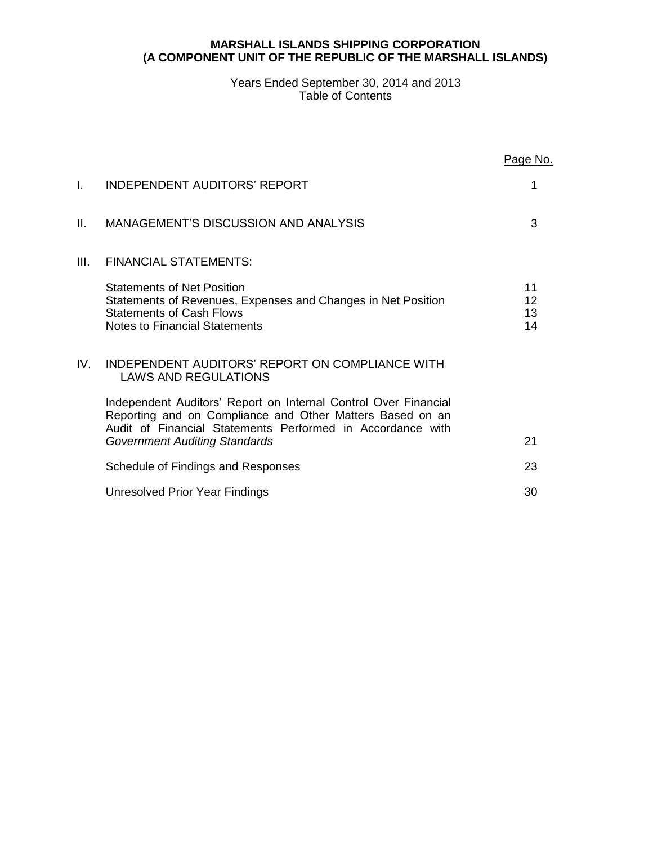## **MARSHALL ISLANDS SHIPPING CORPORATION (A COMPONENT UNIT OF THE REPUBLIC OF THE MARSHALL ISLANDS)**

## Years Ended September 30, 2014 and 2013 Table of Contents

|      |                                                                                                                                                                                                                                    | Page No.             |
|------|------------------------------------------------------------------------------------------------------------------------------------------------------------------------------------------------------------------------------------|----------------------|
| L.   | INDEPENDENT AUDITORS' REPORT                                                                                                                                                                                                       | 1                    |
| Ш.   | MANAGEMENT'S DISCUSSION AND ANALYSIS                                                                                                                                                                                               | 3                    |
| III. | <b>FINANCIAL STATEMENTS:</b>                                                                                                                                                                                                       |                      |
|      | <b>Statements of Net Position</b><br>Statements of Revenues, Expenses and Changes in Net Position<br><b>Statements of Cash Flows</b><br><b>Notes to Financial Statements</b>                                                       | 11<br>12<br>13<br>14 |
| IV.  | INDEPENDENT AUDITORS' REPORT ON COMPLIANCE WITH<br><b>LAWS AND REGULATIONS</b>                                                                                                                                                     |                      |
|      | Independent Auditors' Report on Internal Control Over Financial<br>Reporting and on Compliance and Other Matters Based on an<br>Audit of Financial Statements Performed in Accordance with<br><b>Government Auditing Standards</b> | 21                   |
|      | Schedule of Findings and Responses                                                                                                                                                                                                 | 23                   |
|      | Unresolved Prior Year Findings                                                                                                                                                                                                     | 30                   |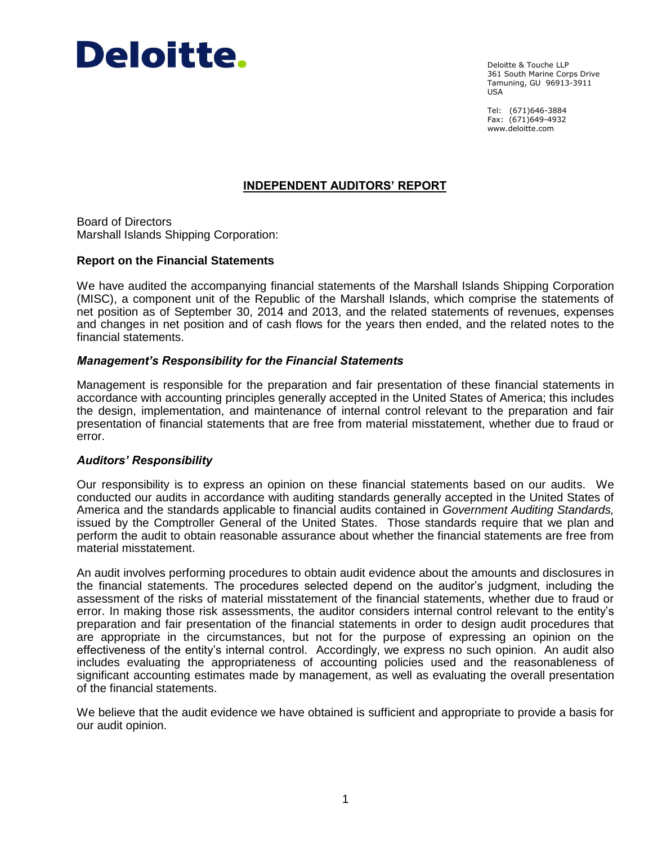

Deloitte & Touche LLP 361 South Marine Corps Drive Tamuning, GU 96913-3911 USA

Tel: (671)646-3884 Fax: (671)649-4932 www.deloitte.com

# **INDEPENDENT AUDITORS' REPORT**

Board of Directors Marshall Islands Shipping Corporation:

### **Report on the Financial Statements**

We have audited the accompanying financial statements of the Marshall Islands Shipping Corporation (MISC), a component unit of the Republic of the Marshall Islands, which comprise the statements of net position as of September 30, 2014 and 2013, and the related statements of revenues, expenses and changes in net position and of cash flows for the years then ended, and the related notes to the financial statements.

### *Management's Responsibility for the Financial Statements*

Management is responsible for the preparation and fair presentation of these financial statements in accordance with accounting principles generally accepted in the United States of America; this includes the design, implementation, and maintenance of internal control relevant to the preparation and fair presentation of financial statements that are free from material misstatement, whether due to fraud or error.

#### *Auditors' Responsibility*

Our responsibility is to express an opinion on these financial statements based on our audits. We conducted our audits in accordance with auditing standards generally accepted in the United States of America and the standards applicable to financial audits contained in *Government Auditing Standards,* issued by the Comptroller General of the United States. Those standards require that we plan and perform the audit to obtain reasonable assurance about whether the financial statements are free from material misstatement.

An audit involves performing procedures to obtain audit evidence about the amounts and disclosures in the financial statements. The procedures selected depend on the auditor's judgment, including the assessment of the risks of material misstatement of the financial statements, whether due to fraud or error. In making those risk assessments, the auditor considers internal control relevant to the entity's preparation and fair presentation of the financial statements in order to design audit procedures that are appropriate in the circumstances, but not for the purpose of expressing an opinion on the effectiveness of the entity's internal control. Accordingly, we express no such opinion. An audit also includes evaluating the appropriateness of accounting policies used and the reasonableness of significant accounting estimates made by management, as well as evaluating the overall presentation of the financial statements.

We believe that the audit evidence we have obtained is sufficient and appropriate to provide a basis for our audit opinion.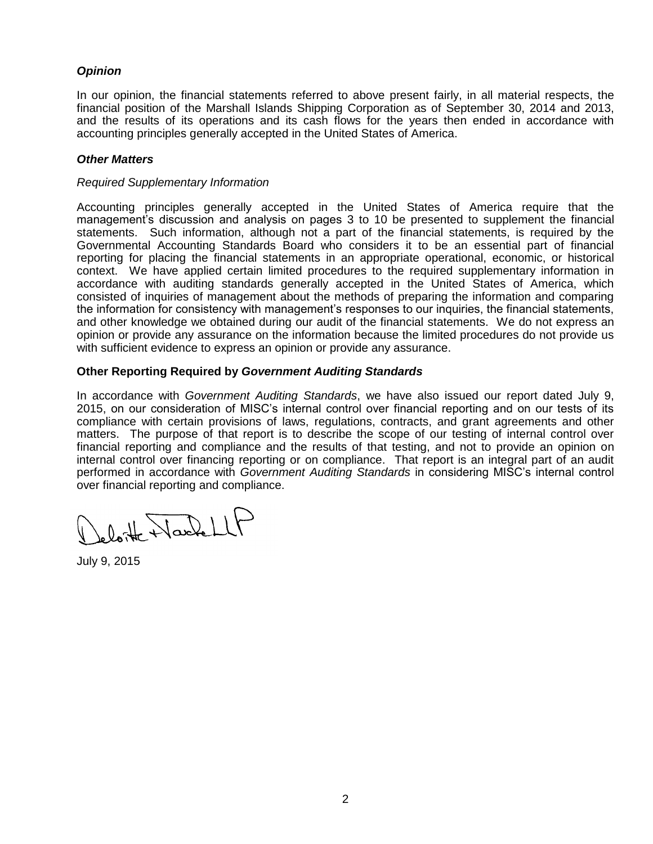# *Opinion*

In our opinion, the financial statements referred to above present fairly, in all material respects, the financial position of the Marshall Islands Shipping Corporation as of September 30, 2014 and 2013, and the results of its operations and its cash flows for the years then ended in accordance with accounting principles generally accepted in the United States of America.

# *Other Matters*

## *Required Supplementary Information*

Accounting principles generally accepted in the United States of America require that the management's discussion and analysis on pages 3 to 10 be presented to supplement the financial statements. Such information, although not a part of the financial statements, is required by the Governmental Accounting Standards Board who considers it to be an essential part of financial reporting for placing the financial statements in an appropriate operational, economic, or historical context. We have applied certain limited procedures to the required supplementary information in accordance with auditing standards generally accepted in the United States of America, which consisted of inquiries of management about the methods of preparing the information and comparing the information for consistency with management's responses to our inquiries, the financial statements, and other knowledge we obtained during our audit of the financial statements. We do not express an opinion or provide any assurance on the information because the limited procedures do not provide us with sufficient evidence to express an opinion or provide any assurance.

# **Other Reporting Required by** *Government Auditing Standards*

In accordance with *Government Auditing Standards*, we have also issued our report dated July 9, 2015, on our consideration of MISC's internal control over financial reporting and on our tests of its compliance with certain provisions of laws, regulations, contracts, and grant agreements and other matters. The purpose of that report is to describe the scope of our testing of internal control over financial reporting and compliance and the results of that testing, and not to provide an opinion on internal control over financing reporting or on compliance. That report is an integral part of an audit performed in accordance with *Government Auditing Standards* in considering MISC's internal control over financial reporting and compliance.

deloite NacheLLP

July 9, 2015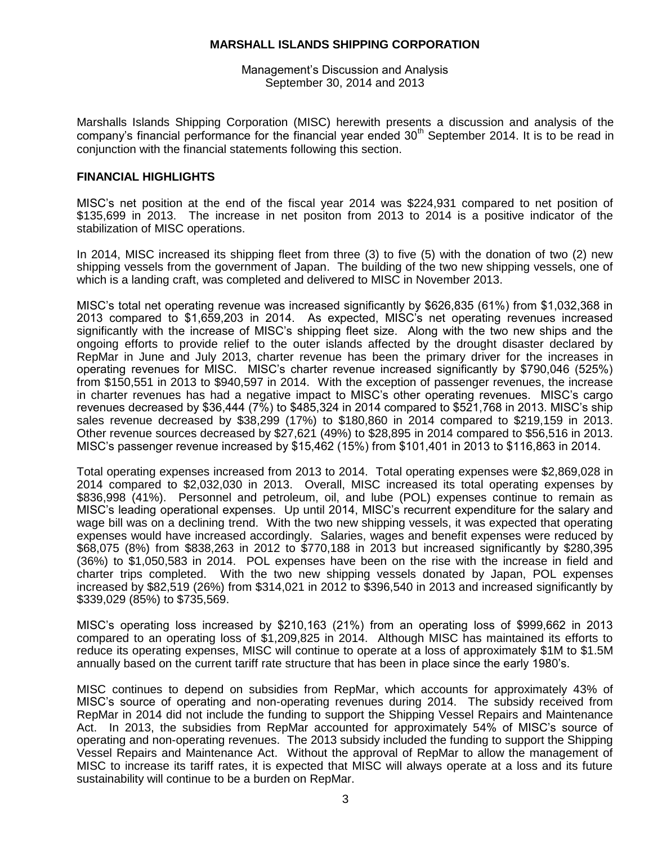Management's Discussion and Analysis September 30, 2014 and 2013

Marshalls Islands Shipping Corporation (MISC) herewith presents a discussion and analysis of the company's financial performance for the financial year ended 30<sup>th</sup> September 2014. It is to be read in conjunction with the financial statements following this section.

# **FINANCIAL HIGHLIGHTS**

MISC's net position at the end of the fiscal year 2014 was \$224,931 compared to net position of \$135,699 in 2013. The increase in net positon from 2013 to 2014 is a positive indicator of the stabilization of MISC operations.

In 2014, MISC increased its shipping fleet from three (3) to five (5) with the donation of two (2) new shipping vessels from the government of Japan. The building of the two new shipping vessels, one of which is a landing craft, was completed and delivered to MISC in November 2013.

MISC's total net operating revenue was increased significantly by \$626,835 (61%) from \$1,032,368 in 2013 compared to \$1,659,203 in 2014. As expected, MISC's net operating revenues increased significantly with the increase of MISC's shipping fleet size. Along with the two new ships and the ongoing efforts to provide relief to the outer islands affected by the drought disaster declared by RepMar in June and July 2013, charter revenue has been the primary driver for the increases in operating revenues for MISC. MISC's charter revenue increased significantly by \$790,046 (525%) from \$150,551 in 2013 to \$940,597 in 2014. With the exception of passenger revenues, the increase in charter revenues has had a negative impact to MISC's other operating revenues. MISC's cargo revenues decreased by \$36,444 (7%) to \$485,324 in 2014 compared to \$521,768 in 2013. MISC's ship sales revenue decreased by \$38,299 (17%) to \$180,860 in 2014 compared to \$219,159 in 2013. Other revenue sources decreased by \$27,621 (49%) to \$28,895 in 2014 compared to \$56,516 in 2013. MISC's passenger revenue increased by \$15,462 (15%) from \$101,401 in 2013 to \$116,863 in 2014.

Total operating expenses increased from 2013 to 2014. Total operating expenses were \$2,869,028 in 2014 compared to \$2,032,030 in 2013. Overall, MISC increased its total operating expenses by \$836,998 (41%). Personnel and petroleum, oil, and lube (POL) expenses continue to remain as MISC's leading operational expenses. Up until 2014, MISC's recurrent expenditure for the salary and wage bill was on a declining trend. With the two new shipping vessels, it was expected that operating expenses would have increased accordingly. Salaries, wages and benefit expenses were reduced by \$68,075 (8%) from \$838,263 in 2012 to \$770,188 in 2013 but increased significantly by \$280,395 (36%) to \$1,050,583 in 2014. POL expenses have been on the rise with the increase in field and charter trips completed. With the two new shipping vessels donated by Japan, POL expenses increased by \$82,519 (26%) from \$314,021 in 2012 to \$396,540 in 2013 and increased significantly by \$339,029 (85%) to \$735,569.

MISC's operating loss increased by \$210,163 (21%) from an operating loss of \$999,662 in 2013 compared to an operating loss of \$1,209,825 in 2014. Although MISC has maintained its efforts to reduce its operating expenses, MISC will continue to operate at a loss of approximately \$1M to \$1.5M annually based on the current tariff rate structure that has been in place since the early 1980's.

MISC continues to depend on subsidies from RepMar, which accounts for approximately 43% of MISC's source of operating and non-operating revenues during 2014. The subsidy received from RepMar in 2014 did not include the funding to support the Shipping Vessel Repairs and Maintenance Act. In 2013, the subsidies from RepMar accounted for approximately 54% of MISC's source of operating and non-operating revenues. The 2013 subsidy included the funding to support the Shipping Vessel Repairs and Maintenance Act. Without the approval of RepMar to allow the management of MISC to increase its tariff rates, it is expected that MISC will always operate at a loss and its future sustainability will continue to be a burden on RepMar.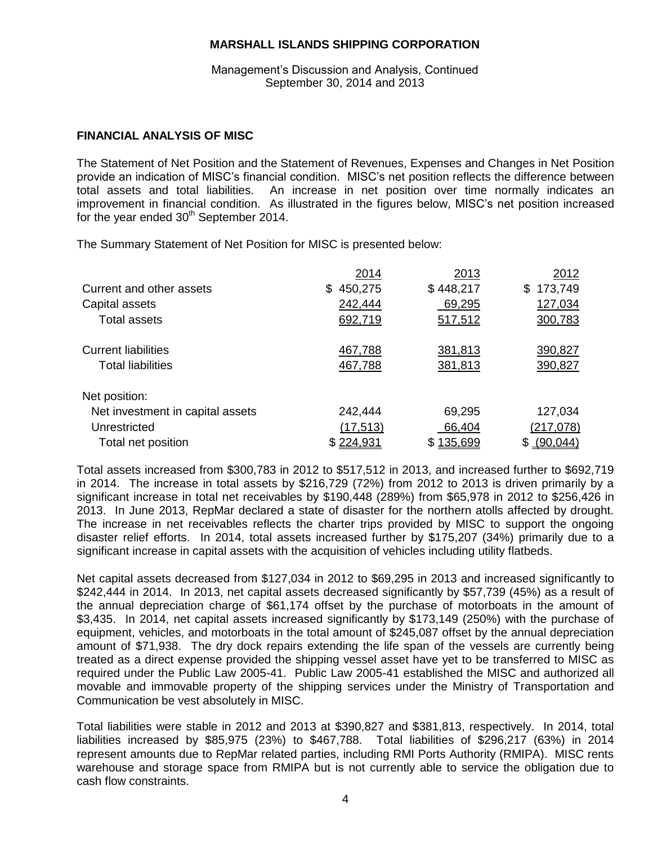Management's Discussion and Analysis, Continued September 30, 2014 and 2013

# **FINANCIAL ANALYSIS OF MISC**

The Statement of Net Position and the Statement of Revenues, Expenses and Changes in Net Position provide an indication of MISC's financial condition. MISC's net position reflects the difference between total assets and total liabilities. An increase in net position over time normally indicates an improvement in financial condition. As illustrated in the figures below, MISC's net position increased for the year ended 30<sup>th</sup> September 2014.

The Summary Statement of Net Position for MISC is presented below:

|                                  | 2014               | 2013      | 2012          |
|----------------------------------|--------------------|-----------|---------------|
| Current and other assets         | 450,275<br>S.      | \$448,217 | 173,749<br>\$ |
| Capital assets                   | 242,444            | 69,295    | 127,034       |
| Total assets                     | 692,719            | 517,512   | 300,783       |
| <b>Current liabilities</b>       | 467,788            | 381,813   | 390,827       |
| <b>Total liabilities</b>         | 467,788            | 381,813   | 390,827       |
| Net position:                    |                    |           |               |
| Net investment in capital assets | 242,444            | 69,295    | 127,034       |
| Unrestricted                     | (17, 513)          | 66,404    | (217,078)     |
| Total net position               | <u> \$ 224,931</u> | \$135,699 | (90,044)      |

Total assets increased from \$300,783 in 2012 to \$517,512 in 2013, and increased further to \$692,719 in 2014. The increase in total assets by \$216,729 (72%) from 2012 to 2013 is driven primarily by a significant increase in total net receivables by \$190,448 (289%) from \$65,978 in 2012 to \$256,426 in 2013. In June 2013, RepMar declared a state of disaster for the northern atolls affected by drought. The increase in net receivables reflects the charter trips provided by MISC to support the ongoing disaster relief efforts. In 2014, total assets increased further by \$175,207 (34%) primarily due to a significant increase in capital assets with the acquisition of vehicles including utility flatbeds.

Net capital assets decreased from \$127,034 in 2012 to \$69,295 in 2013 and increased significantly to \$242,444 in 2014. In 2013, net capital assets decreased significantly by \$57,739 (45%) as a result of the annual depreciation charge of \$61,174 offset by the purchase of motorboats in the amount of \$3,435. In 2014, net capital assets increased significantly by \$173,149 (250%) with the purchase of equipment, vehicles, and motorboats in the total amount of \$245,087 offset by the annual depreciation amount of \$71,938. The dry dock repairs extending the life span of the vessels are currently being treated as a direct expense provided the shipping vessel asset have yet to be transferred to MISC as required under the Public Law 2005-41. Public Law 2005-41 established the MISC and authorized all movable and immovable property of the shipping services under the Ministry of Transportation and Communication be vest absolutely in MISC.

Total liabilities were stable in 2012 and 2013 at \$390,827 and \$381,813, respectively. In 2014, total liabilities increased by \$85,975 (23%) to \$467,788. Total liabilities of \$296,217 (63%) in 2014 represent amounts due to RepMar related parties, including RMI Ports Authority (RMIPA). MISC rents warehouse and storage space from RMIPA but is not currently able to service the obligation due to cash flow constraints.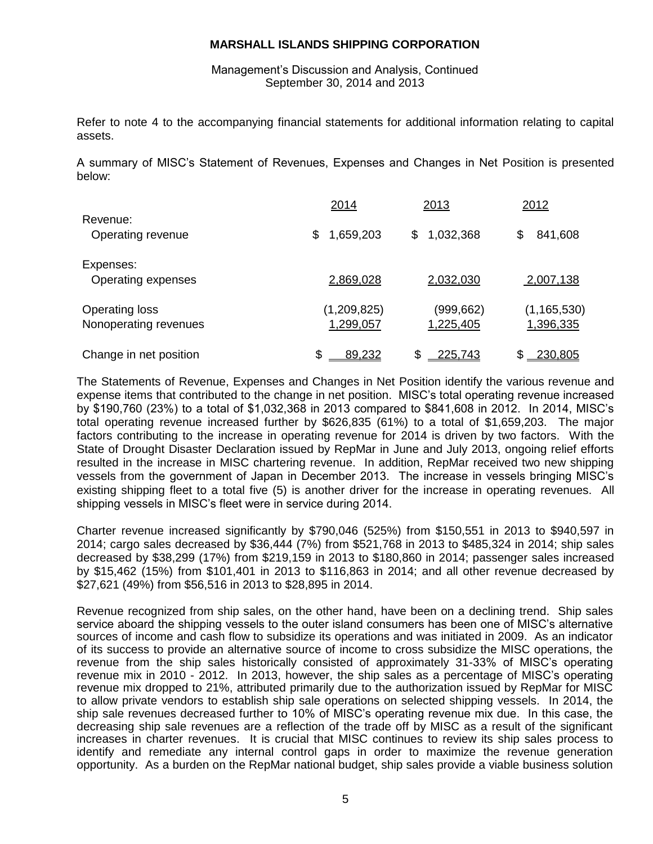Management's Discussion and Analysis, Continued September 30, 2014 and 2013

Refer to note 4 to the accompanying financial statements for additional information relating to capital assets.

A summary of MISC's Statement of Revenues, Expenses and Changes in Net Position is presented below:

|                                                | 2014                     | 2013                   | <u>2012</u>                |
|------------------------------------------------|--------------------------|------------------------|----------------------------|
| Revenue:<br>Operating revenue                  | 1,659,203<br>S           | 1,032,368<br>S         | 841,608<br>S               |
| Expenses:<br>Operating expenses                | 2,869,028                | 2,032,030              | 2,007,138                  |
| <b>Operating loss</b><br>Nonoperating revenues | (1,209,825)<br>1,299,057 | (999,662)<br>1,225,405 | (1, 165, 530)<br>1,396,335 |
| Change in net position                         | 89,232                   | \$<br>225,743          | 230,805                    |

The Statements of Revenue, Expenses and Changes in Net Position identify the various revenue and expense items that contributed to the change in net position. MISC's total operating revenue increased by \$190,760 (23%) to a total of \$1,032,368 in 2013 compared to \$841,608 in 2012. In 2014, MISC's total operating revenue increased further by \$626,835 (61%) to a total of \$1,659,203. The major factors contributing to the increase in operating revenue for 2014 is driven by two factors. With the State of Drought Disaster Declaration issued by RepMar in June and July 2013, ongoing relief efforts resulted in the increase in MISC chartering revenue. In addition, RepMar received two new shipping vessels from the government of Japan in December 2013. The increase in vessels bringing MISC's existing shipping fleet to a total five (5) is another driver for the increase in operating revenues. All shipping vessels in MISC's fleet were in service during 2014.

Charter revenue increased significantly by \$790,046 (525%) from \$150,551 in 2013 to \$940,597 in 2014; cargo sales decreased by \$36,444 (7%) from \$521,768 in 2013 to \$485,324 in 2014; ship sales decreased by \$38,299 (17%) from \$219,159 in 2013 to \$180,860 in 2014; passenger sales increased by \$15,462 (15%) from \$101,401 in 2013 to \$116,863 in 2014; and all other revenue decreased by \$27,621 (49%) from \$56,516 in 2013 to \$28,895 in 2014.

Revenue recognized from ship sales, on the other hand, have been on a declining trend. Ship sales service aboard the shipping vessels to the outer island consumers has been one of MISC's alternative sources of income and cash flow to subsidize its operations and was initiated in 2009. As an indicator of its success to provide an alternative source of income to cross subsidize the MISC operations, the revenue from the ship sales historically consisted of approximately 31-33% of MISC's operating revenue mix in 2010 - 2012. In 2013, however, the ship sales as a percentage of MISC's operating revenue mix dropped to 21%, attributed primarily due to the authorization issued by RepMar for MISC to allow private vendors to establish ship sale operations on selected shipping vessels. In 2014, the ship sale revenues decreased further to 10% of MISC's operating revenue mix due. In this case, the decreasing ship sale revenues are a reflection of the trade off by MISC as a result of the significant increases in charter revenues. It is crucial that MISC continues to review its ship sales process to identify and remediate any internal control gaps in order to maximize the revenue generation opportunity. As a burden on the RepMar national budget, ship sales provide a viable business solution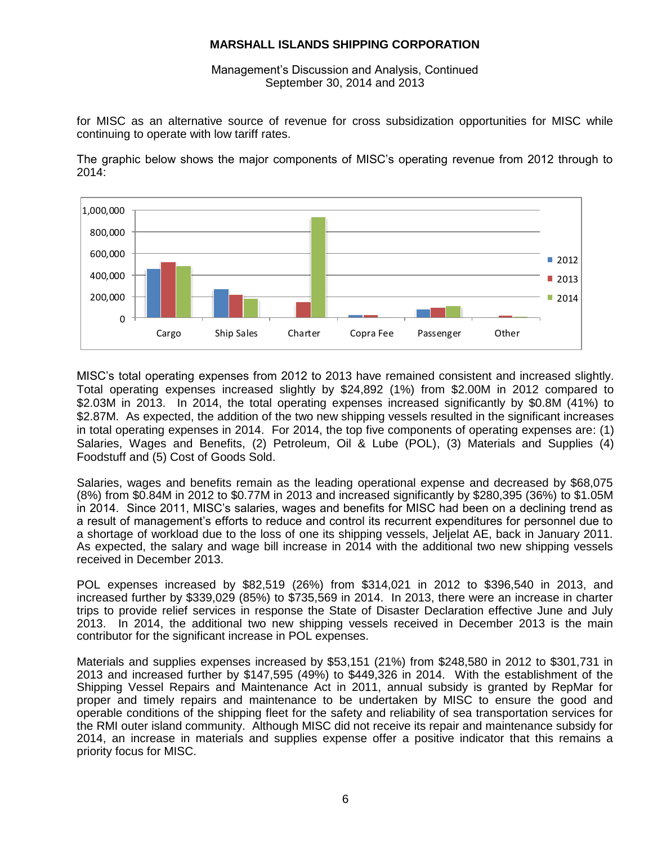Management's Discussion and Analysis, Continued September 30, 2014 and 2013

for MISC as an alternative source of revenue for cross subsidization opportunities for MISC while continuing to operate with low tariff rates.



The graphic below shows the major components of MISC's operating revenue from 2012 through to 2014:

MISC's total operating expenses from 2012 to 2013 have remained consistent and increased slightly. Total operating expenses increased slightly by \$24,892 (1%) from \$2.00M in 2012 compared to \$2.03M in 2013. In 2014, the total operating expenses increased significantly by \$0.8M (41%) to \$2.87M. As expected, the addition of the two new shipping vessels resulted in the significant increases in total operating expenses in 2014. For 2014, the top five components of operating expenses are: (1) Salaries, Wages and Benefits, (2) Petroleum, Oil & Lube (POL), (3) Materials and Supplies (4) Foodstuff and (5) Cost of Goods Sold.

Salaries, wages and benefits remain as the leading operational expense and decreased by \$68,075 (8%) from \$0.84M in 2012 to \$0.77M in 2013 and increased significantly by \$280,395 (36%) to \$1.05M in 2014. Since 2011, MISC's salaries, wages and benefits for MISC had been on a declining trend as a result of management's efforts to reduce and control its recurrent expenditures for personnel due to a shortage of workload due to the loss of one its shipping vessels, Jeljelat AE, back in January 2011. As expected, the salary and wage bill increase in 2014 with the additional two new shipping vessels received in December 2013.

POL expenses increased by \$82,519 (26%) from \$314,021 in 2012 to \$396,540 in 2013, and increased further by \$339,029 (85%) to \$735,569 in 2014. In 2013, there were an increase in charter trips to provide relief services in response the State of Disaster Declaration effective June and July 2013. In 2014, the additional two new shipping vessels received in December 2013 is the main contributor for the significant increase in POL expenses.

Materials and supplies expenses increased by \$53,151 (21%) from \$248,580 in 2012 to \$301,731 in 2013 and increased further by \$147,595 (49%) to \$449,326 in 2014. With the establishment of the Shipping Vessel Repairs and Maintenance Act in 2011, annual subsidy is granted by RepMar for proper and timely repairs and maintenance to be undertaken by MISC to ensure the good and operable conditions of the shipping fleet for the safety and reliability of sea transportation services for the RMI outer island community. Although MISC did not receive its repair and maintenance subsidy for 2014, an increase in materials and supplies expense offer a positive indicator that this remains a priority focus for MISC.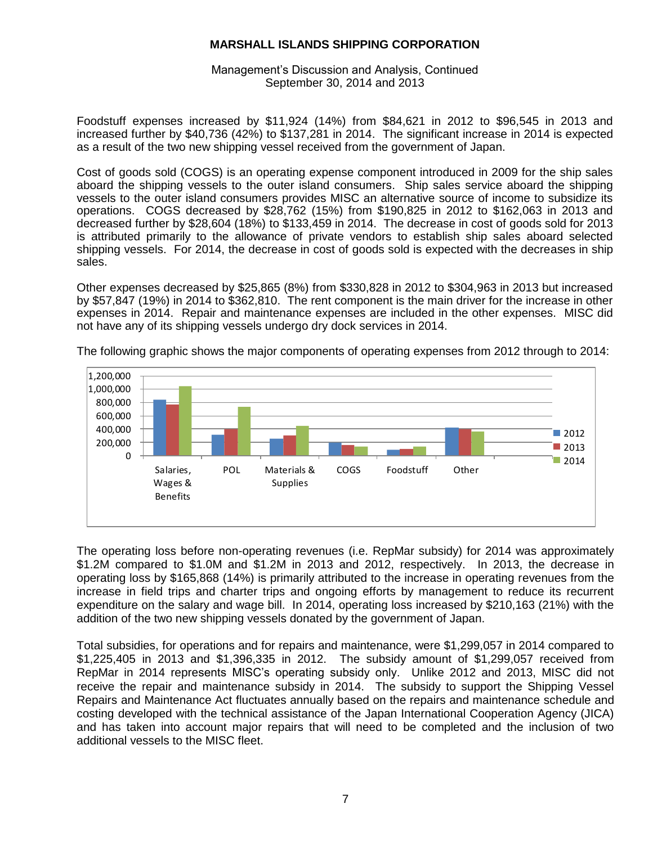Management's Discussion and Analysis, Continued September 30, 2014 and 2013

Foodstuff expenses increased by \$11,924 (14%) from \$84,621 in 2012 to \$96,545 in 2013 and increased further by \$40,736 (42%) to \$137,281 in 2014. The significant increase in 2014 is expected as a result of the two new shipping vessel received from the government of Japan.

Cost of goods sold (COGS) is an operating expense component introduced in 2009 for the ship sales aboard the shipping vessels to the outer island consumers. Ship sales service aboard the shipping vessels to the outer island consumers provides MISC an alternative source of income to subsidize its operations. COGS decreased by \$28,762 (15%) from \$190,825 in 2012 to \$162,063 in 2013 and decreased further by \$28,604 (18%) to \$133,459 in 2014. The decrease in cost of goods sold for 2013 is attributed primarily to the allowance of private vendors to establish ship sales aboard selected shipping vessels. For 2014, the decrease in cost of goods sold is expected with the decreases in ship sales.

Other expenses decreased by \$25,865 (8%) from \$330,828 in 2012 to \$304,963 in 2013 but increased by \$57,847 (19%) in 2014 to \$362,810. The rent component is the main driver for the increase in other expenses in 2014. Repair and maintenance expenses are included in the other expenses. MISC did not have any of its shipping vessels undergo dry dock services in 2014.



The following graphic shows the major components of operating expenses from 2012 through to 2014:

The operating loss before non-operating revenues (i.e. RepMar subsidy) for 2014 was approximately \$1.2M compared to \$1.0M and \$1.2M in 2013 and 2012, respectively. In 2013, the decrease in operating loss by \$165,868 (14%) is primarily attributed to the increase in operating revenues from the increase in field trips and charter trips and ongoing efforts by management to reduce its recurrent expenditure on the salary and wage bill. In 2014, operating loss increased by \$210,163 (21%) with the addition of the two new shipping vessels donated by the government of Japan.

Total subsidies, for operations and for repairs and maintenance, were \$1,299,057 in 2014 compared to \$1,225,405 in 2013 and \$1,396,335 in 2012. The subsidy amount of \$1,299,057 received from RepMar in 2014 represents MISC's operating subsidy only. Unlike 2012 and 2013, MISC did not receive the repair and maintenance subsidy in 2014. The subsidy to support the Shipping Vessel Repairs and Maintenance Act fluctuates annually based on the repairs and maintenance schedule and costing developed with the technical assistance of the Japan International Cooperation Agency (JICA) and has taken into account major repairs that will need to be completed and the inclusion of two additional vessels to the MISC fleet.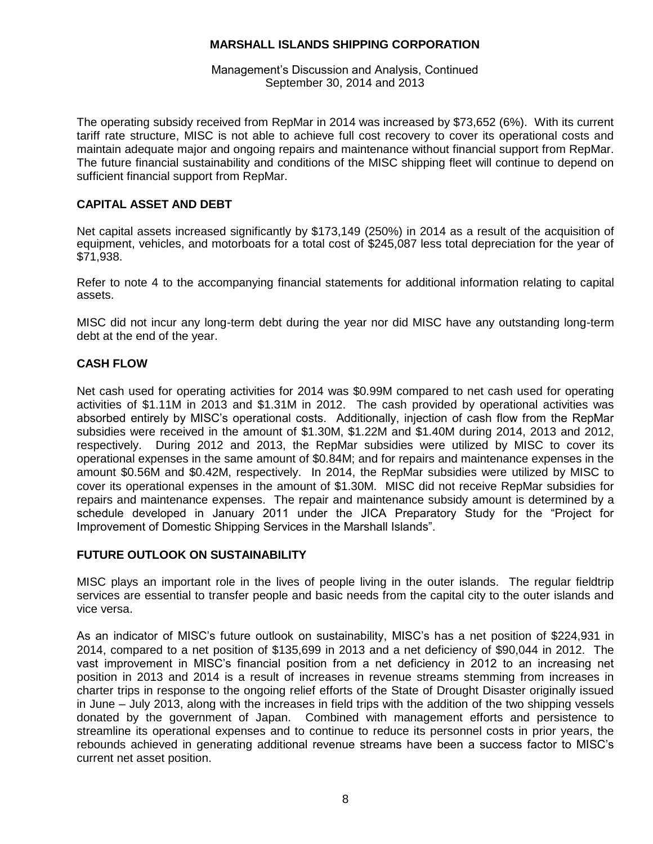Management's Discussion and Analysis, Continued September 30, 2014 and 2013

The operating subsidy received from RepMar in 2014 was increased by \$73,652 (6%). With its current tariff rate structure, MISC is not able to achieve full cost recovery to cover its operational costs and maintain adequate major and ongoing repairs and maintenance without financial support from RepMar. The future financial sustainability and conditions of the MISC shipping fleet will continue to depend on sufficient financial support from RepMar.

# **CAPITAL ASSET AND DEBT**

Net capital assets increased significantly by \$173,149 (250%) in 2014 as a result of the acquisition of equipment, vehicles, and motorboats for a total cost of \$245,087 less total depreciation for the year of \$71,938.

Refer to note 4 to the accompanying financial statements for additional information relating to capital assets.

MISC did not incur any long-term debt during the year nor did MISC have any outstanding long-term debt at the end of the year.

# **CASH FLOW**

Net cash used for operating activities for 2014 was \$0.99M compared to net cash used for operating activities of \$1.11M in 2013 and \$1.31M in 2012. The cash provided by operational activities was absorbed entirely by MISC's operational costs. Additionally, injection of cash flow from the RepMar subsidies were received in the amount of \$1.30M, \$1.22M and \$1.40M during 2014, 2013 and 2012, respectively. During 2012 and 2013, the RepMar subsidies were utilized by MISC to cover its operational expenses in the same amount of \$0.84M; and for repairs and maintenance expenses in the amount \$0.56M and \$0.42M, respectively. In 2014, the RepMar subsidies were utilized by MISC to cover its operational expenses in the amount of \$1.30M. MISC did not receive RepMar subsidies for repairs and maintenance expenses. The repair and maintenance subsidy amount is determined by a schedule developed in January 2011 under the JICA Preparatory Study for the "Project for Improvement of Domestic Shipping Services in the Marshall Islands".

## **FUTURE OUTLOOK ON SUSTAINABILITY**

MISC plays an important role in the lives of people living in the outer islands. The regular fieldtrip services are essential to transfer people and basic needs from the capital city to the outer islands and vice versa.

As an indicator of MISC's future outlook on sustainability, MISC's has a net position of \$224,931 in 2014, compared to a net position of \$135,699 in 2013 and a net deficiency of \$90,044 in 2012. The vast improvement in MISC's financial position from a net deficiency in 2012 to an increasing net position in 2013 and 2014 is a result of increases in revenue streams stemming from increases in charter trips in response to the ongoing relief efforts of the State of Drought Disaster originally issued in June – July 2013, along with the increases in field trips with the addition of the two shipping vessels donated by the government of Japan. Combined with management efforts and persistence to streamline its operational expenses and to continue to reduce its personnel costs in prior years, the rebounds achieved in generating additional revenue streams have been a success factor to MISC's current net asset position.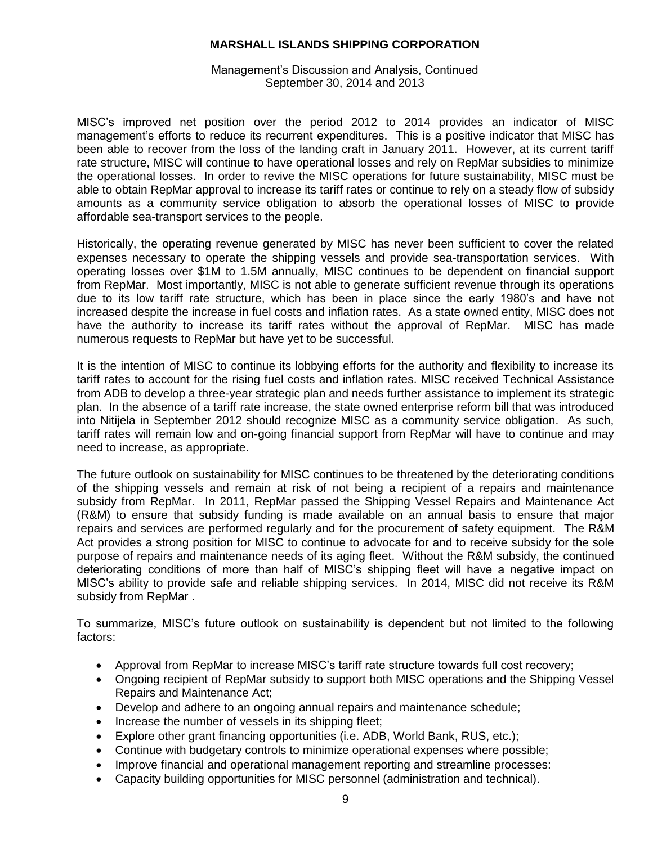Management's Discussion and Analysis, Continued September 30, 2014 and 2013

MISC's improved net position over the period 2012 to 2014 provides an indicator of MISC management's efforts to reduce its recurrent expenditures. This is a positive indicator that MISC has been able to recover from the loss of the landing craft in January 2011. However, at its current tariff rate structure, MISC will continue to have operational losses and rely on RepMar subsidies to minimize the operational losses. In order to revive the MISC operations for future sustainability, MISC must be able to obtain RepMar approval to increase its tariff rates or continue to rely on a steady flow of subsidy amounts as a community service obligation to absorb the operational losses of MISC to provide affordable sea-transport services to the people.

Historically, the operating revenue generated by MISC has never been sufficient to cover the related expenses necessary to operate the shipping vessels and provide sea-transportation services. With operating losses over \$1M to 1.5M annually, MISC continues to be dependent on financial support from RepMar. Most importantly, MISC is not able to generate sufficient revenue through its operations due to its low tariff rate structure, which has been in place since the early 1980's and have not increased despite the increase in fuel costs and inflation rates. As a state owned entity, MISC does not have the authority to increase its tariff rates without the approval of RepMar. MISC has made numerous requests to RepMar but have yet to be successful.

It is the intention of MISC to continue its lobbying efforts for the authority and flexibility to increase its tariff rates to account for the rising fuel costs and inflation rates. MISC received Technical Assistance from ADB to develop a three-year strategic plan and needs further assistance to implement its strategic plan. In the absence of a tariff rate increase, the state owned enterprise reform bill that was introduced into Nitijela in September 2012 should recognize MISC as a community service obligation. As such, tariff rates will remain low and on-going financial support from RepMar will have to continue and may need to increase, as appropriate.

The future outlook on sustainability for MISC continues to be threatened by the deteriorating conditions of the shipping vessels and remain at risk of not being a recipient of a repairs and maintenance subsidy from RepMar. In 2011, RepMar passed the Shipping Vessel Repairs and Maintenance Act (R&M) to ensure that subsidy funding is made available on an annual basis to ensure that major repairs and services are performed regularly and for the procurement of safety equipment. The R&M Act provides a strong position for MISC to continue to advocate for and to receive subsidy for the sole purpose of repairs and maintenance needs of its aging fleet. Without the R&M subsidy, the continued deteriorating conditions of more than half of MISC's shipping fleet will have a negative impact on MISC's ability to provide safe and reliable shipping services. In 2014, MISC did not receive its R&M subsidy from RepMar .

To summarize, MISC's future outlook on sustainability is dependent but not limited to the following factors:

- Approval from RepMar to increase MISC's tariff rate structure towards full cost recovery;
- Ongoing recipient of RepMar subsidy to support both MISC operations and the Shipping Vessel Repairs and Maintenance Act;
- Develop and adhere to an ongoing annual repairs and maintenance schedule;
- Increase the number of vessels in its shipping fleet;
- Explore other grant financing opportunities (i.e. ADB, World Bank, RUS, etc.);
- Continue with budgetary controls to minimize operational expenses where possible;
- Improve financial and operational management reporting and streamline processes:
- Capacity building opportunities for MISC personnel (administration and technical).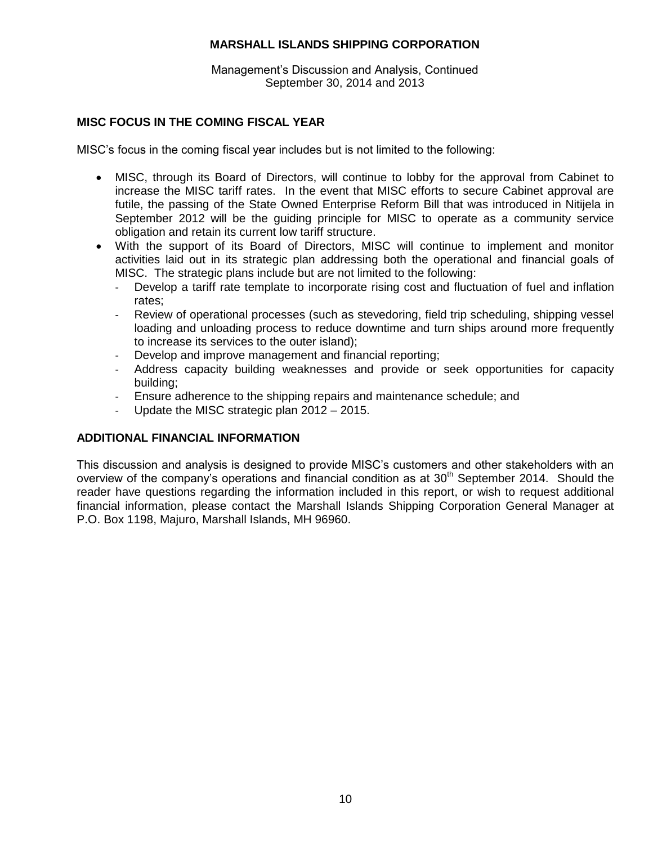Management's Discussion and Analysis, Continued September 30, 2014 and 2013

# **MISC FOCUS IN THE COMING FISCAL YEAR**

MISC's focus in the coming fiscal year includes but is not limited to the following:

- MISC, through its Board of Directors, will continue to lobby for the approval from Cabinet to increase the MISC tariff rates. In the event that MISC efforts to secure Cabinet approval are futile, the passing of the State Owned Enterprise Reform Bill that was introduced in Nitijela in September 2012 will be the guiding principle for MISC to operate as a community service obligation and retain its current low tariff structure.
- With the support of its Board of Directors, MISC will continue to implement and monitor activities laid out in its strategic plan addressing both the operational and financial goals of MISC. The strategic plans include but are not limited to the following:
	- Develop a tariff rate template to incorporate rising cost and fluctuation of fuel and inflation rates;
	- Review of operational processes (such as stevedoring, field trip scheduling, shipping vessel loading and unloading process to reduce downtime and turn ships around more frequently to increase its services to the outer island);
	- Develop and improve management and financial reporting;
	- Address capacity building weaknesses and provide or seek opportunities for capacity building;
	- Ensure adherence to the shipping repairs and maintenance schedule; and
	- Update the MISC strategic plan 2012 2015.

## **ADDITIONAL FINANCIAL INFORMATION**

This discussion and analysis is designed to provide MISC's customers and other stakeholders with an overview of the company's operations and financial condition as at  $30<sup>th</sup>$  September 2014. Should the reader have questions regarding the information included in this report, or wish to request additional financial information, please contact the Marshall Islands Shipping Corporation General Manager at P.O. Box 1198, Majuro, Marshall Islands, MH 96960.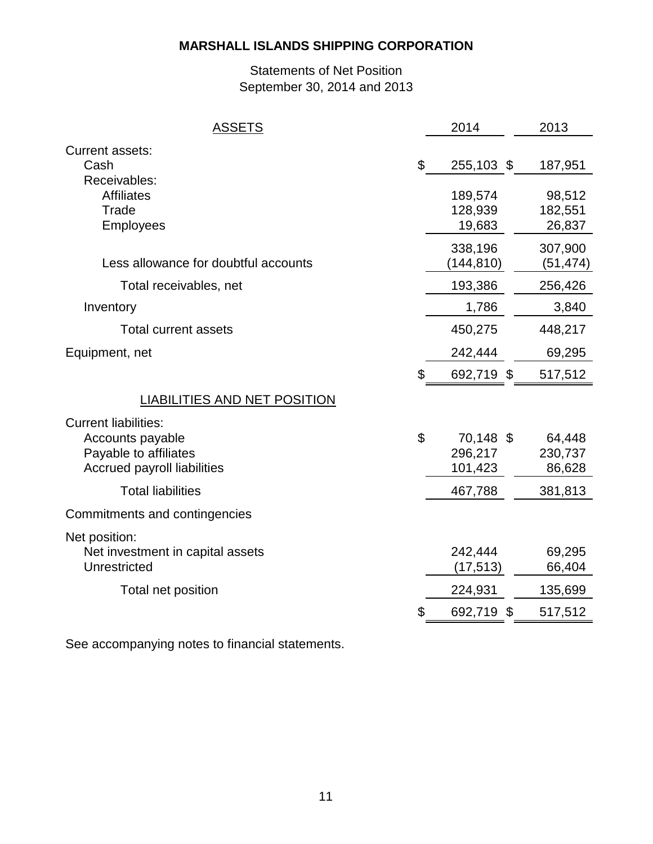# Statements of Net Position September 30, 2014 and 2013

| <b>Current assets:</b><br>\$<br>Cash<br>255,103 \$<br>187,951<br>Receivables:<br><b>Affiliates</b><br>189,574<br>98,512<br>Trade<br>128,939<br>182,551<br>Employees<br>19,683<br>26,837<br>338,196<br>307,900<br>Less allowance for doubtful accounts<br>(144,810)<br>(51, 474)<br>193,386<br>Total receivables, net<br>256,426<br>1,786<br>3,840<br>Inventory<br>448,217<br><b>Total current assets</b><br>450,275<br>Equipment, net<br>242,444<br>69,295<br>\$<br>692,719 \$<br>517,512<br><b>LIABILITIES AND NET POSITION</b><br><b>Current liabilities:</b><br>\$<br>70,148 \$<br>Accounts payable<br>64,448<br>Payable to affiliates<br>296,217<br>230,737<br><b>Accrued payroll liabilities</b><br>101,423<br>86,628<br><b>Total liabilities</b><br>467,788<br>381,813<br>Commitments and contingencies<br>Net position:<br>Net investment in capital assets<br>242,444<br>69,295<br>66,404<br>Unrestricted<br>(17, 513)<br>Total net position<br>224,931<br>135,699<br>517,512<br>692,719 \$<br>S | <b>ASSETS</b> | 2014 | 2013 |
|----------------------------------------------------------------------------------------------------------------------------------------------------------------------------------------------------------------------------------------------------------------------------------------------------------------------------------------------------------------------------------------------------------------------------------------------------------------------------------------------------------------------------------------------------------------------------------------------------------------------------------------------------------------------------------------------------------------------------------------------------------------------------------------------------------------------------------------------------------------------------------------------------------------------------------------------------------------------------------------------------------|---------------|------|------|
|                                                                                                                                                                                                                                                                                                                                                                                                                                                                                                                                                                                                                                                                                                                                                                                                                                                                                                                                                                                                          |               |      |      |
|                                                                                                                                                                                                                                                                                                                                                                                                                                                                                                                                                                                                                                                                                                                                                                                                                                                                                                                                                                                                          |               |      |      |
|                                                                                                                                                                                                                                                                                                                                                                                                                                                                                                                                                                                                                                                                                                                                                                                                                                                                                                                                                                                                          |               |      |      |
|                                                                                                                                                                                                                                                                                                                                                                                                                                                                                                                                                                                                                                                                                                                                                                                                                                                                                                                                                                                                          |               |      |      |
|                                                                                                                                                                                                                                                                                                                                                                                                                                                                                                                                                                                                                                                                                                                                                                                                                                                                                                                                                                                                          |               |      |      |
|                                                                                                                                                                                                                                                                                                                                                                                                                                                                                                                                                                                                                                                                                                                                                                                                                                                                                                                                                                                                          |               |      |      |
|                                                                                                                                                                                                                                                                                                                                                                                                                                                                                                                                                                                                                                                                                                                                                                                                                                                                                                                                                                                                          |               |      |      |
|                                                                                                                                                                                                                                                                                                                                                                                                                                                                                                                                                                                                                                                                                                                                                                                                                                                                                                                                                                                                          |               |      |      |
|                                                                                                                                                                                                                                                                                                                                                                                                                                                                                                                                                                                                                                                                                                                                                                                                                                                                                                                                                                                                          |               |      |      |
|                                                                                                                                                                                                                                                                                                                                                                                                                                                                                                                                                                                                                                                                                                                                                                                                                                                                                                                                                                                                          |               |      |      |
|                                                                                                                                                                                                                                                                                                                                                                                                                                                                                                                                                                                                                                                                                                                                                                                                                                                                                                                                                                                                          |               |      |      |
|                                                                                                                                                                                                                                                                                                                                                                                                                                                                                                                                                                                                                                                                                                                                                                                                                                                                                                                                                                                                          |               |      |      |
|                                                                                                                                                                                                                                                                                                                                                                                                                                                                                                                                                                                                                                                                                                                                                                                                                                                                                                                                                                                                          |               |      |      |
|                                                                                                                                                                                                                                                                                                                                                                                                                                                                                                                                                                                                                                                                                                                                                                                                                                                                                                                                                                                                          |               |      |      |

See accompanying notes to financial statements.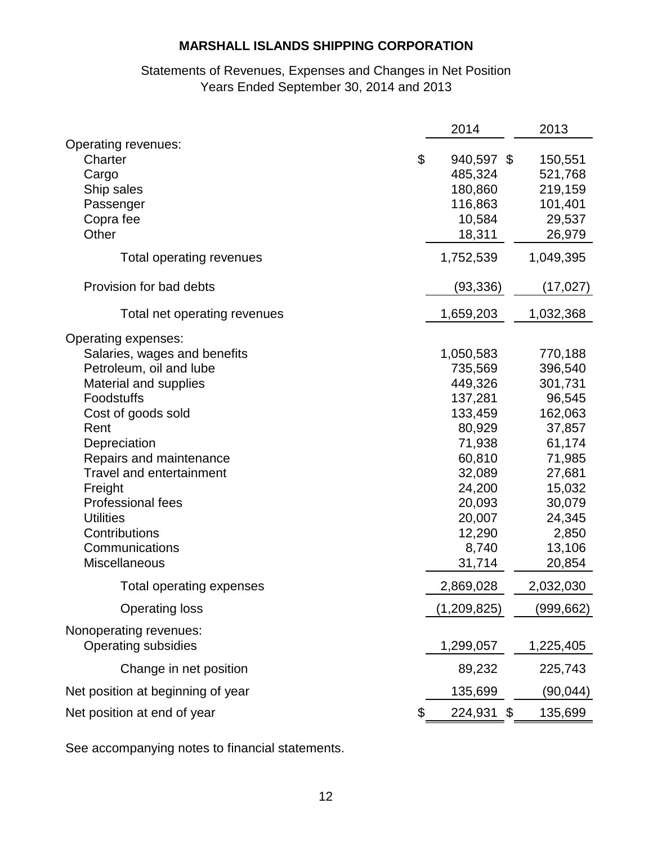# Statements of Revenues, Expenses and Changes in Net Position Years Ended September 30, 2014 and 2013

|                                                             | 2014                             | 2013                          |
|-------------------------------------------------------------|----------------------------------|-------------------------------|
| Operating revenues:<br>\$<br>Charter<br>Cargo<br>Ship sales | 940,597 \$<br>485,324<br>180,860 | 150,551<br>521,768<br>219,159 |
| Passenger<br>Copra fee                                      | 116,863<br>10,584                | 101,401<br>29,537             |
| Other                                                       | 18,311                           | 26,979                        |
| Total operating revenues                                    | 1,752,539                        | 1,049,395                     |
| Provision for bad debts                                     | (93, 336)                        | (17, 027)                     |
| Total net operating revenues                                | 1,659,203                        | 1,032,368                     |
| Operating expenses:                                         |                                  |                               |
| Salaries, wages and benefits                                | 1,050,583                        | 770,188                       |
| Petroleum, oil and lube                                     | 735,569                          | 396,540                       |
| <b>Material and supplies</b>                                | 449,326                          | 301,731                       |
| Foodstuffs                                                  | 137,281                          | 96,545                        |
| Cost of goods sold                                          | 133,459                          | 162,063                       |
| Rent                                                        | 80,929                           | 37,857                        |
| Depreciation                                                | 71,938                           | 61,174                        |
| Repairs and maintenance                                     | 60,810                           | 71,985                        |
| <b>Travel and entertainment</b>                             | 32,089                           | 27,681                        |
| Freight                                                     | 24,200                           | 15,032                        |
| Professional fees                                           | 20,093                           | 30,079                        |
| <b>Utilities</b>                                            | 20,007                           | 24,345                        |
| Contributions                                               | 12,290                           | 2,850                         |
| Communications                                              | 8,740                            | 13,106                        |
| <b>Miscellaneous</b>                                        | 31,714                           | 20,854                        |
| Total operating expenses                                    | 2,869,028                        | 2,032,030                     |
| <b>Operating loss</b>                                       | (1,209,825)                      | (999,662)                     |
| Nonoperating revenues:<br><b>Operating subsidies</b>        | 1,299,057                        | 1,225,405                     |
| Change in net position                                      | 89,232                           | 225,743                       |
| Net position at beginning of year                           | 135,699                          | (90, 044)                     |
| Net position at end of year<br>\$                           | 224,931 \$                       | 135,699                       |

See accompanying notes to financial statements.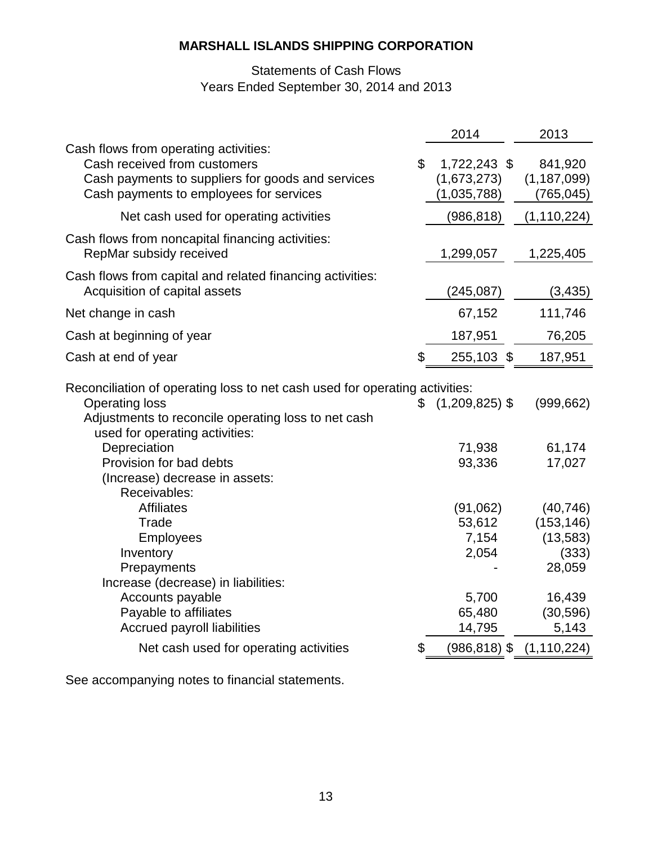# Statements of Cash Flows Years Ended September 30, 2014 and 2013

|                                                                                                                                                                                                     | 2014                                       | 2013                                          |
|-----------------------------------------------------------------------------------------------------------------------------------------------------------------------------------------------------|--------------------------------------------|-----------------------------------------------|
| Cash flows from operating activities:<br>$\boldsymbol{\mathsf{S}}$<br>Cash received from customers<br>Cash payments to suppliers for goods and services<br>Cash payments to employees for services  | 1,722,243 \$<br>(1,673,273)<br>(1,035,788) | 841,920<br>(1, 187, 099)<br>(765, 045)        |
| Net cash used for operating activities                                                                                                                                                              | (986, 818)                                 | (1, 110, 224)                                 |
| Cash flows from noncapital financing activities:<br>RepMar subsidy received                                                                                                                         | 1,299,057                                  | 1,225,405                                     |
| Cash flows from capital and related financing activities:<br>Acquisition of capital assets                                                                                                          | (245, 087)                                 | (3, 435)                                      |
| Net change in cash                                                                                                                                                                                  | 67,152                                     | 111,746                                       |
| Cash at beginning of year                                                                                                                                                                           | 187,951                                    | 76,205                                        |
| \$<br>Cash at end of year                                                                                                                                                                           | 255,103 \$                                 | 187,951                                       |
| Reconciliation of operating loss to net cash used for operating activities:<br><b>Operating loss</b><br>æ.<br>Adjustments to reconcile operating loss to net cash<br>used for operating activities: | $(1,209,825)$ \$                           | (999, 662)                                    |
| Depreciation<br>Provision for bad debts<br>(Increase) decrease in assets:<br>Receivables:                                                                                                           | 71,938<br>93,336                           | 61,174<br>17,027                              |
| <b>Affiliates</b><br>Trade<br>Employees<br>Inventory                                                                                                                                                | (91,062)<br>53,612<br>7,154<br>2,054       | (40, 746)<br>(153, 146)<br>(13, 583)<br>(333) |
| Prepayments<br>Increase (decrease) in liabilities:<br>Accounts payable<br>Payable to affiliates<br>Accrued payroll liabilities                                                                      | 5,700<br>65,480<br>14,795                  | 28,059<br>16,439<br>(30, 596)<br>5,143        |
| Net cash used for operating activities<br>\$                                                                                                                                                        | $(986, 818)$ \$                            | (1, 110, 224)                                 |

See accompanying notes to financial statements.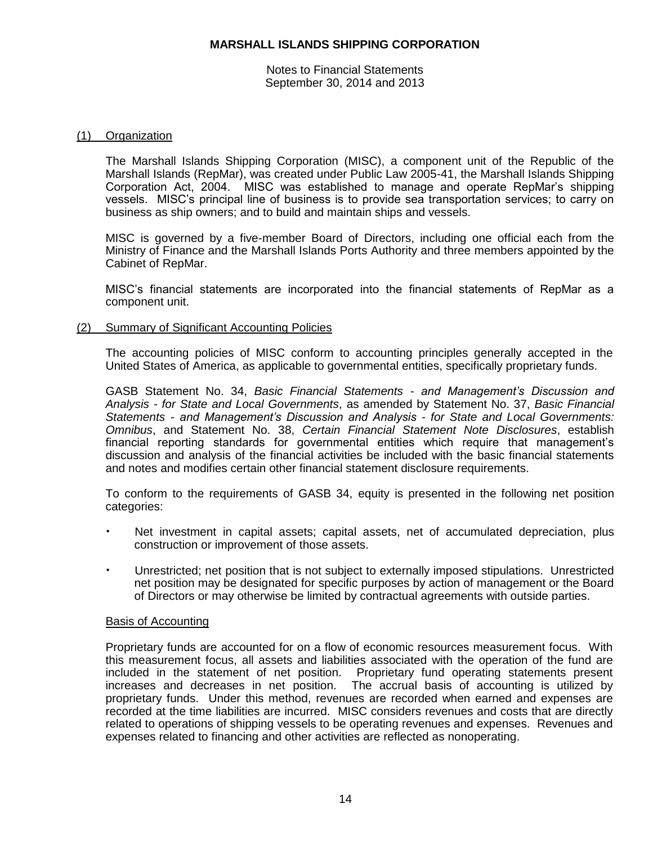Notes to Financial Statements September 30, 2014 and 2013

# (1) Organization

The Marshall Islands Shipping Corporation (MISC), a component unit of the Republic of the Marshall Islands (RepMar), was created under Public Law 2005-41, the Marshall Islands Shipping Corporation Act, 2004. MISC was established to manage and operate RepMar's shipping vessels. MISC's principal line of business is to provide sea transportation services; to carry on business as ship owners; and to build and maintain ships and vessels.

MISC is governed by a five-member Board of Directors, including one official each from the Ministry of Finance and the Marshall Islands Ports Authority and three members appointed by the Cabinet of RepMar.

MISC's financial statements are incorporated into the financial statements of RepMar as a component unit.

(2) Summary of Significant Accounting Policies

The accounting policies of MISC conform to accounting principles generally accepted in the United States of America, as applicable to governmental entities, specifically proprietary funds.

GASB Statement No. 34, *Basic Financial Statements - and Management's Discussion and Analysis - for State and Local Governments*, as amended by Statement No. 37, *Basic Financial Statements - and Management's Discussion and Analysis - for State and Local Governments: Omnibus*, and Statement No. 38, *Certain Financial Statement Note Disclosures*, establish financial reporting standards for governmental entities which require that management's discussion and analysis of the financial activities be included with the basic financial statements and notes and modifies certain other financial statement disclosure requirements.

To conform to the requirements of GASB 34, equity is presented in the following net position categories:

- Net investment in capital assets; capital assets, net of accumulated depreciation, plus construction or improvement of those assets.
- Unrestricted; net position that is not subject to externally imposed stipulations. Unrestricted net position may be designated for specific purposes by action of management or the Board of Directors or may otherwise be limited by contractual agreements with outside parties.

## Basis of Accounting

Proprietary funds are accounted for on a flow of economic resources measurement focus. With this measurement focus, all assets and liabilities associated with the operation of the fund are included in the statement of net position. Proprietary fund operating statements present increases and decreases in net position. The accrual basis of accounting is utilized by proprietary funds. Under this method, revenues are recorded when earned and expenses are recorded at the time liabilities are incurred. MISC considers revenues and costs that are directly related to operations of shipping vessels to be operating revenues and expenses. Revenues and expenses related to financing and other activities are reflected as nonoperating.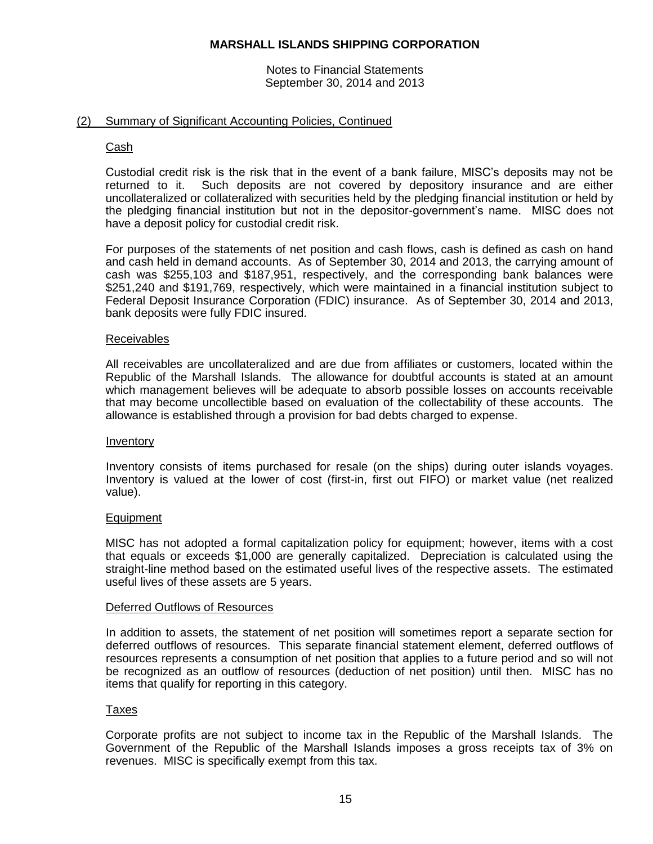Notes to Financial Statements September 30, 2014 and 2013

## (2) Summary of Significant Accounting Policies, Continued

#### Cash

Custodial credit risk is the risk that in the event of a bank failure, MISC's deposits may not be returned to it. Such deposits are not covered by depository insurance and are either uncollateralized or collateralized with securities held by the pledging financial institution or held by the pledging financial institution but not in the depositor-government's name. MISC does not have a deposit policy for custodial credit risk.

For purposes of the statements of net position and cash flows, cash is defined as cash on hand and cash held in demand accounts. As of September 30, 2014 and 2013, the carrying amount of cash was \$255,103 and \$187,951, respectively, and the corresponding bank balances were \$251,240 and \$191,769, respectively, which were maintained in a financial institution subject to Federal Deposit Insurance Corporation (FDIC) insurance. As of September 30, 2014 and 2013, bank deposits were fully FDIC insured.

#### Receivables

All receivables are uncollateralized and are due from affiliates or customers, located within the Republic of the Marshall Islands. The allowance for doubtful accounts is stated at an amount which management believes will be adequate to absorb possible losses on accounts receivable that may become uncollectible based on evaluation of the collectability of these accounts. The allowance is established through a provision for bad debts charged to expense.

#### Inventory

Inventory consists of items purchased for resale (on the ships) during outer islands voyages. Inventory is valued at the lower of cost (first-in, first out FIFO) or market value (net realized value).

#### Equipment

MISC has not adopted a formal capitalization policy for equipment; however, items with a cost that equals or exceeds \$1,000 are generally capitalized. Depreciation is calculated using the straight-line method based on the estimated useful lives of the respective assets. The estimated useful lives of these assets are 5 years.

#### Deferred Outflows of Resources

In addition to assets, the statement of net position will sometimes report a separate section for deferred outflows of resources. This separate financial statement element, deferred outflows of resources represents a consumption of net position that applies to a future period and so will not be recognized as an outflow of resources (deduction of net position) until then. MISC has no items that qualify for reporting in this category.

#### Taxes

Corporate profits are not subject to income tax in the Republic of the Marshall Islands. The Government of the Republic of the Marshall Islands imposes a gross receipts tax of 3% on revenues. MISC is specifically exempt from this tax.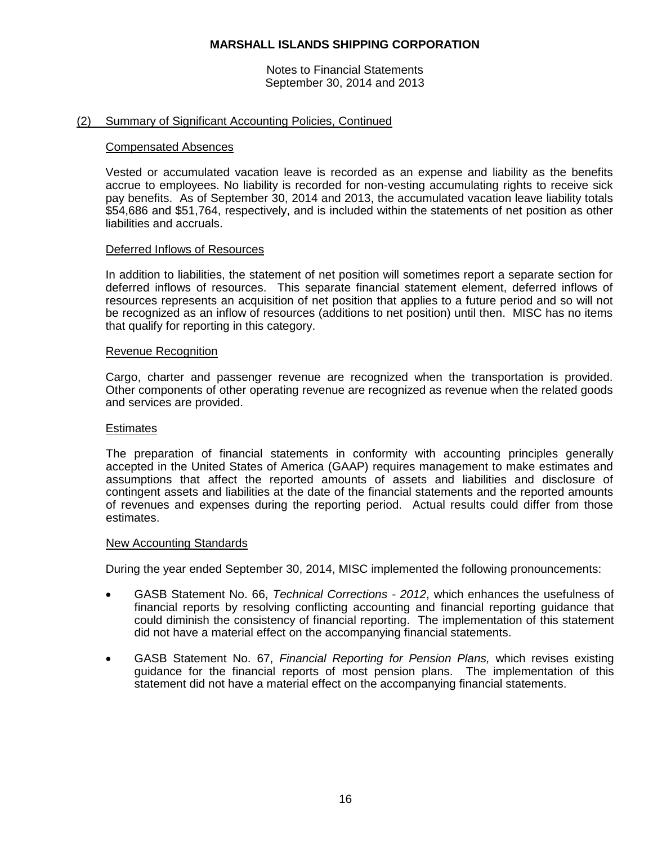Notes to Financial Statements September 30, 2014 and 2013

## (2) Summary of Significant Accounting Policies, Continued

#### Compensated Absences

Vested or accumulated vacation leave is recorded as an expense and liability as the benefits accrue to employees. No liability is recorded for non-vesting accumulating rights to receive sick pay benefits. As of September 30, 2014 and 2013, the accumulated vacation leave liability totals \$54,686 and \$51,764, respectively, and is included within the statements of net position as other liabilities and accruals.

#### Deferred Inflows of Resources

In addition to liabilities, the statement of net position will sometimes report a separate section for deferred inflows of resources. This separate financial statement element, deferred inflows of resources represents an acquisition of net position that applies to a future period and so will not be recognized as an inflow of resources (additions to net position) until then. MISC has no items that qualify for reporting in this category.

#### Revenue Recognition

Cargo, charter and passenger revenue are recognized when the transportation is provided. Other components of other operating revenue are recognized as revenue when the related goods and services are provided.

#### **Estimates**

The preparation of financial statements in conformity with accounting principles generally accepted in the United States of America (GAAP) requires management to make estimates and assumptions that affect the reported amounts of assets and liabilities and disclosure of contingent assets and liabilities at the date of the financial statements and the reported amounts of revenues and expenses during the reporting period. Actual results could differ from those estimates.

#### New Accounting Standards

During the year ended September 30, 2014, MISC implemented the following pronouncements:

- GASB Statement No. 66, *Technical Corrections - 2012*, which enhances the usefulness of financial reports by resolving conflicting accounting and financial reporting guidance that could diminish the consistency of financial reporting. The implementation of this statement did not have a material effect on the accompanying financial statements.
- GASB Statement No. 67, *Financial Reporting for Pension Plans,* which revises existing guidance for the financial reports of most pension plans. The implementation of this statement did not have a material effect on the accompanying financial statements.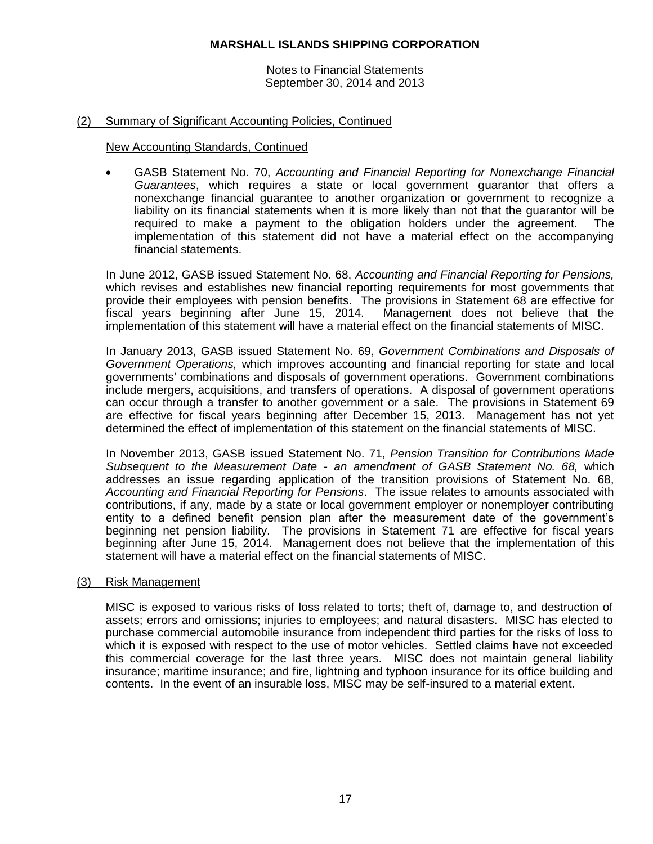Notes to Financial Statements September 30, 2014 and 2013

## (2) Summary of Significant Accounting Policies, Continued

### New Accounting Standards, Continued

 GASB Statement No. 70, *Accounting and Financial Reporting for Nonexchange Financial Guarantees*, which requires a state or local government guarantor that offers a nonexchange financial guarantee to another organization or government to recognize a liability on its financial statements when it is more likely than not that the guarantor will be required to make a payment to the obligation holders under the agreement. The implementation of this statement did not have a material effect on the accompanying financial statements.

In June 2012, GASB issued Statement No. 68, *Accounting and Financial Reporting for Pensions,*  which revises and establishes new financial reporting requirements for most governments that provide their employees with pension benefits. The provisions in Statement 68 are effective for fiscal years beginning after June 15, 2014. Management does not believe that the implementation of this statement will have a material effect on the financial statements of MISC.

In January 2013, GASB issued Statement No. 69, *Government Combinations and Disposals of Government Operations,* which improves accounting and financial reporting for state and local governments' combinations and disposals of government operations. Government combinations include mergers, acquisitions, and transfers of operations. A disposal of government operations can occur through a transfer to another government or a sale. The provisions in Statement 69 are effective for fiscal years beginning after December 15, 2013. Management has not yet determined the effect of implementation of this statement on the financial statements of MISC.

In November 2013, GASB issued Statement No. 71, *Pension Transition for Contributions Made Subsequent to the Measurement Date - an amendment of GASB Statement No. 68,* which addresses an issue regarding application of the transition provisions of Statement No. 68, *Accounting and Financial Reporting for Pensions*. The issue relates to amounts associated with contributions, if any, made by a state or local government employer or nonemployer contributing entity to a defined benefit pension plan after the measurement date of the government's beginning net pension liability. The provisions in Statement 71 are effective for fiscal years beginning after June 15, 2014. Management does not believe that the implementation of this statement will have a material effect on the financial statements of MISC.

## (3) Risk Management

MISC is exposed to various risks of loss related to torts; theft of, damage to, and destruction of assets; errors and omissions; injuries to employees; and natural disasters. MISC has elected to purchase commercial automobile insurance from independent third parties for the risks of loss to which it is exposed with respect to the use of motor vehicles. Settled claims have not exceeded this commercial coverage for the last three years. MISC does not maintain general liability insurance; maritime insurance; and fire, lightning and typhoon insurance for its office building and contents. In the event of an insurable loss, MISC may be self-insured to a material extent.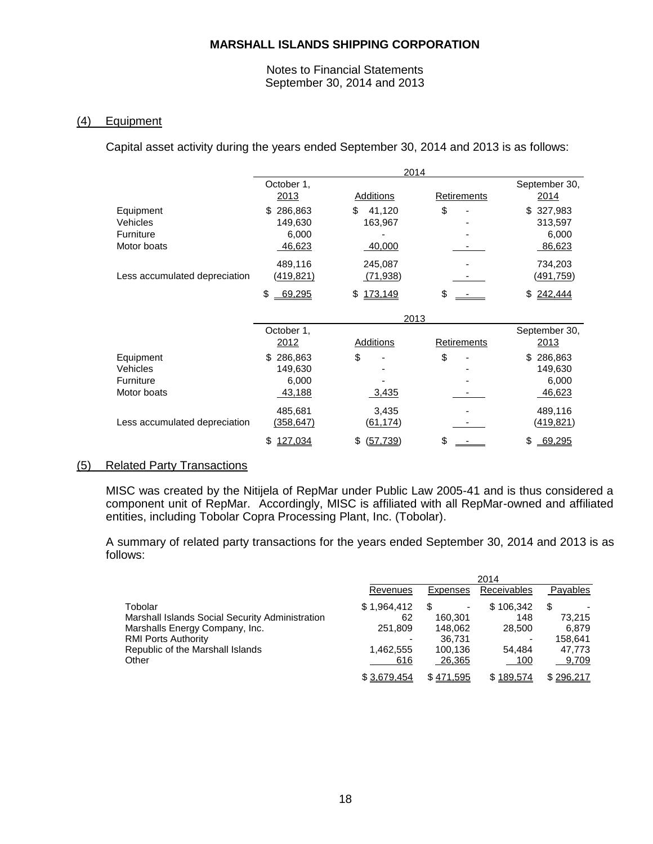Notes to Financial Statements September 30, 2014 and 2013

## (4) Equipment

Capital asset activity during the years ended September 30, 2014 and 2013 is as follows:

|                               | 2014             |                |                          |                  |
|-------------------------------|------------------|----------------|--------------------------|------------------|
|                               | October 1,       |                |                          | September 30,    |
|                               | 2013             | Additions      | <b>Retirements</b>       | 2014             |
| Equipment                     | 286,863<br>\$    | \$<br>41,120   | \$                       | 327,983<br>\$    |
| Vehicles                      | 149,630          | 163,967        |                          | 313,597          |
| Furniture                     | 6,000            |                |                          | 6,000            |
| Motor boats                   | 46,623           | 40,000         |                          | 86,623           |
|                               | 489,116          | 245,087        | $\overline{\phantom{a}}$ | 734,203          |
| Less accumulated depreciation | <u>(419,821)</u> | (71,938)       |                          | <u>(491,759)</u> |
|                               | \$<br>69,295     | 173,149<br>\$  | \$                       | 242,444<br>\$    |
|                               | 2013             |                |                          |                  |
|                               | October 1,       |                |                          | September 30,    |
|                               | 2012             | Additions      | Retirements              | 2013             |
| Equipment                     | 286,863<br>\$    | \$             | \$                       | \$<br>286,863    |
| Vehicles                      | 149,630          |                |                          | 149,630          |
| Furniture                     | 6,000            |                |                          | 6,000            |
| Motor boats                   | 43,188           | <u>3,435</u>   |                          | 46,623           |
|                               | 485,681          | 3,435          |                          | 489,116          |
| Less accumulated depreciation | (358,647)        | (61,174)       |                          | <u>(419,821)</u> |
|                               | 127,034<br>\$    | (57, 739)<br>S | \$                       | \$<br>69,295     |

## (5) Related Party Transactions

MISC was created by the Nitijela of RepMar under Public Law 2005-41 and is thus considered a component unit of RepMar. Accordingly, MISC is affiliated with all RepMar-owned and affiliated entities, including Tobolar Copra Processing Plant, Inc. (Tobolar).

A summary of related party transactions for the years ended September 30, 2014 and 2013 is as follows:

|                                                 |             |                               | 2014        |           |
|-------------------------------------------------|-------------|-------------------------------|-------------|-----------|
|                                                 | Revenues    | Expenses                      | Receivables | Payables  |
| Tobolar                                         | \$1,964,412 | S<br>$\overline{\phantom{a}}$ | \$106,342   | S         |
| Marshall Islands Social Security Administration | 62          | 160.301                       | 148         | 73.215    |
| Marshalls Energy Company, Inc.                  | 251,809     | 148.062                       | 28,500      | 6.879     |
| <b>RMI Ports Authority</b>                      |             | 36.731                        |             | 158.641   |
| Republic of the Marshall Islands                | 1,462,555   | 100.136                       | 54.484      | 47,773    |
| Other                                           | 616         | 26,365                        | 100         | 9,709     |
|                                                 | \$3,679,454 | \$471,595                     | \$189,574   | \$296,217 |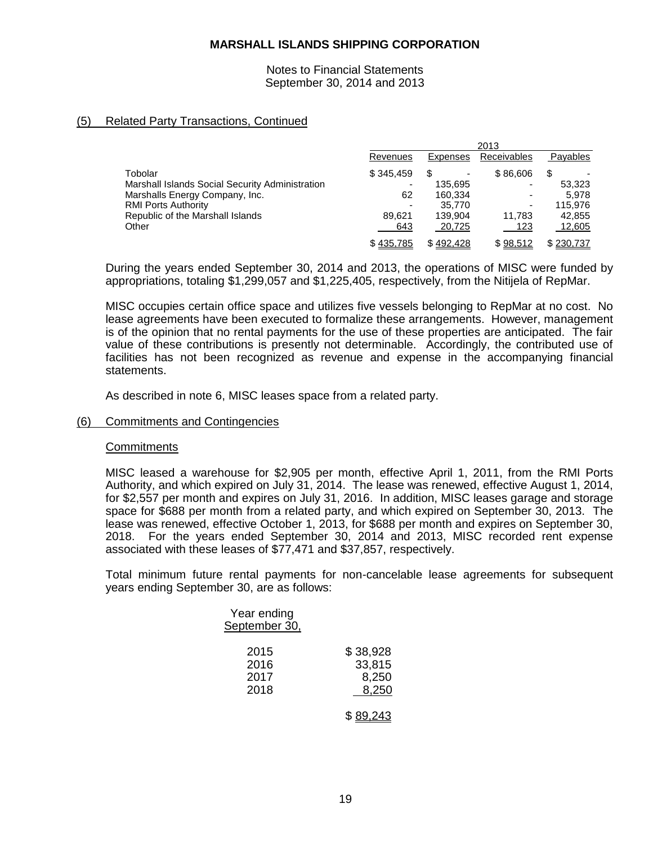Notes to Financial Statements September 30, 2014 and 2013

# (5) Related Party Transactions, Continued

|                                                 |           |           | 2013                     |           |
|-------------------------------------------------|-----------|-----------|--------------------------|-----------|
|                                                 | Revenues  | Expenses  | Receivables              | Payables  |
| Tobolar                                         | \$345.459 | \$        | \$86,606                 | S         |
| Marshall Islands Social Security Administration |           | 135.695   | $\overline{\phantom{0}}$ | 53.323    |
| Marshalls Energy Company, Inc.                  | 62        | 160.334   | $\overline{\phantom{0}}$ | 5.978     |
| <b>RMI Ports Authority</b>                      |           | 35,770    | ٠                        | 115,976   |
| Republic of the Marshall Islands                | 89.621    | 139.904   | 11.783                   | 42,855    |
| Other                                           | 643       | 20,725    | 123                      | 12,605    |
|                                                 | \$435,785 | \$492.428 | \$98,512                 | \$230,737 |

During the years ended September 30, 2014 and 2013, the operations of MISC were funded by appropriations, totaling \$1,299,057 and \$1,225,405, respectively, from the Nitijela of RepMar.

MISC occupies certain office space and utilizes five vessels belonging to RepMar at no cost. No lease agreements have been executed to formalize these arrangements. However, management is of the opinion that no rental payments for the use of these properties are anticipated. The fair value of these contributions is presently not determinable. Accordingly, the contributed use of facilities has not been recognized as revenue and expense in the accompanying financial statements.

As described in note 6, MISC leases space from a related party.

# (6) Commitments and Contingencies

## **Commitments**

MISC leased a warehouse for \$2,905 per month, effective April 1, 2011, from the RMI Ports Authority, and which expired on July 31, 2014. The lease was renewed, effective August 1, 2014, for \$2,557 per month and expires on July 31, 2016. In addition, MISC leases garage and storage space for \$688 per month from a related party, and which expired on September 30, 2013. The lease was renewed, effective October 1, 2013, for \$688 per month and expires on September 30, 2018. For the years ended September 30, 2014 and 2013, MISC recorded rent expense associated with these leases of \$77,471 and \$37,857, respectively.

Total minimum future rental payments for non-cancelable lease agreements for subsequent years ending September 30, are as follows:

| Year ending<br>September 30, |                                      |
|------------------------------|--------------------------------------|
| 2015<br>2016<br>2017<br>2018 | \$38,928<br>33,815<br>8,250<br>8,250 |
|                              | \$89,243                             |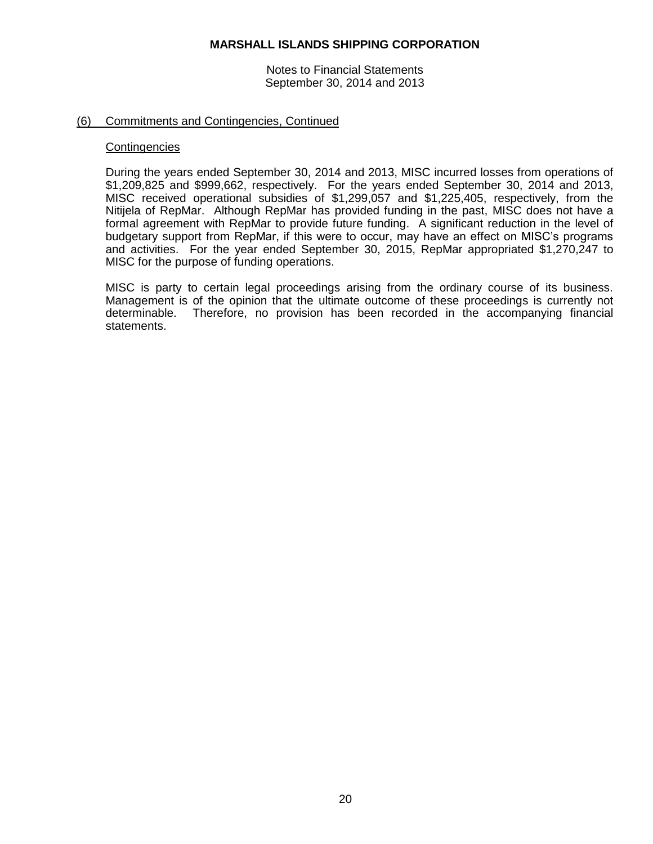Notes to Financial Statements September 30, 2014 and 2013

## (6) Commitments and Contingencies, Continued

#### **Contingencies**

During the years ended September 30, 2014 and 2013, MISC incurred losses from operations of \$1,209,825 and \$999,662, respectively. For the years ended September 30, 2014 and 2013, MISC received operational subsidies of \$1,299,057 and \$1,225,405, respectively, from the Nitijela of RepMar. Although RepMar has provided funding in the past, MISC does not have a formal agreement with RepMar to provide future funding. A significant reduction in the level of budgetary support from RepMar, if this were to occur, may have an effect on MISC's programs and activities. For the year ended September 30, 2015, RepMar appropriated \$1,270,247 to MISC for the purpose of funding operations.

MISC is party to certain legal proceedings arising from the ordinary course of its business. Management is of the opinion that the ultimate outcome of these proceedings is currently not determinable. Therefore, no provision has been recorded in the accompanying financial statements.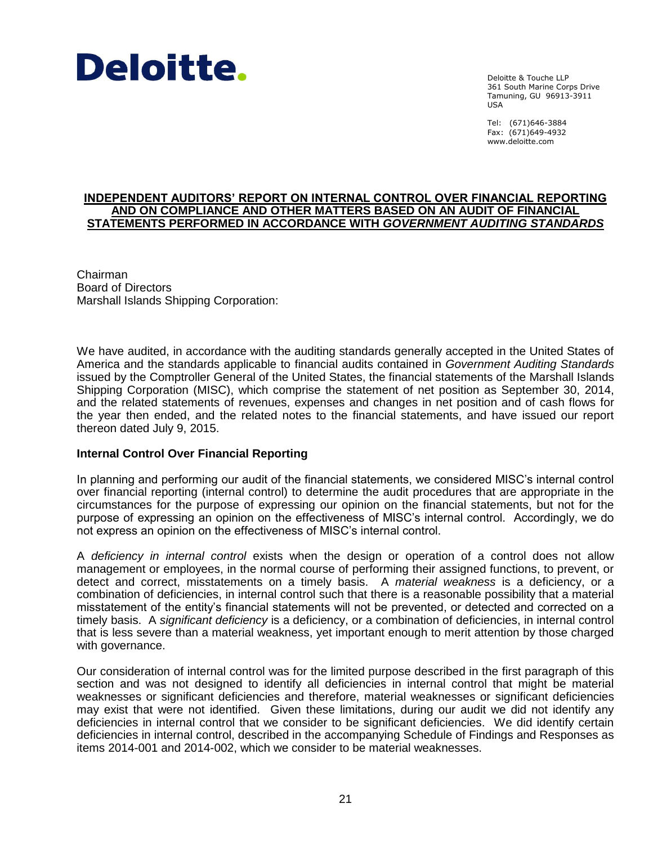

Deloitte & Touche LLP 361 South Marine Corps Drive Tamuning, GU 96913-3911 USA

Tel: (671)646-3884 Fax: (671)649-4932 www.deloitte.com

#### **INDEPENDENT AUDITORS' REPORT ON INTERNAL CONTROL OVER FINANCIAL REPORTING AND ON COMPLIANCE AND OTHER MATTERS BASED ON AN AUDIT OF FINANCIAL STATEMENTS PERFORMED IN ACCORDANCE WITH** *GOVERNMENT AUDITING STANDARDS*

Chairman Board of Directors Marshall Islands Shipping Corporation:

We have audited, in accordance with the auditing standards generally accepted in the United States of America and the standards applicable to financial audits contained in *Government Auditing Standards* issued by the Comptroller General of the United States, the financial statements of the Marshall Islands Shipping Corporation (MISC), which comprise the statement of net position as September 30, 2014, and the related statements of revenues, expenses and changes in net position and of cash flows for the year then ended, and the related notes to the financial statements, and have issued our report thereon dated July 9, 2015.

## **Internal Control Over Financial Reporting**

In planning and performing our audit of the financial statements, we considered MISC's internal control over financial reporting (internal control) to determine the audit procedures that are appropriate in the circumstances for the purpose of expressing our opinion on the financial statements, but not for the purpose of expressing an opinion on the effectiveness of MISC's internal control. Accordingly, we do not express an opinion on the effectiveness of MISC's internal control.

A *deficiency in internal control* exists when the design or operation of a control does not allow management or employees, in the normal course of performing their assigned functions, to prevent, or detect and correct, misstatements on a timely basis. A *material weakness* is a deficiency, or a combination of deficiencies, in internal control such that there is a reasonable possibility that a material misstatement of the entity's financial statements will not be prevented, or detected and corrected on a timely basis. A *significant deficiency* is a deficiency, or a combination of deficiencies, in internal control that is less severe than a material weakness, yet important enough to merit attention by those charged with governance.

Our consideration of internal control was for the limited purpose described in the first paragraph of this section and was not designed to identify all deficiencies in internal control that might be material weaknesses or significant deficiencies and therefore, material weaknesses or significant deficiencies may exist that were not identified. Given these limitations, during our audit we did not identify any deficiencies in internal control that we consider to be significant deficiencies. We did identify certain deficiencies in internal control, described in the accompanying Schedule of Findings and Responses as items 2014-001 and 2014-002, which we consider to be material weaknesses.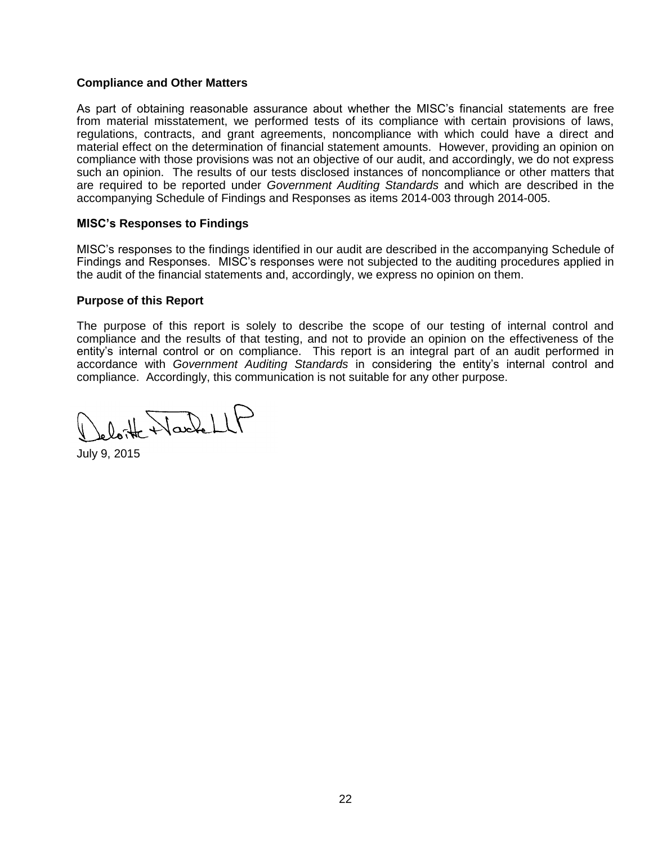# **Compliance and Other Matters**

As part of obtaining reasonable assurance about whether the MISC's financial statements are free from material misstatement, we performed tests of its compliance with certain provisions of laws, regulations, contracts, and grant agreements, noncompliance with which could have a direct and material effect on the determination of financial statement amounts. However, providing an opinion on compliance with those provisions was not an objective of our audit, and accordingly, we do not express such an opinion. The results of our tests disclosed instances of noncompliance or other matters that are required to be reported under *Government Auditing Standards* and which are described in the accompanying Schedule of Findings and Responses as items 2014-003 through 2014-005.

# **MISC's Responses to Findings**

MISC's responses to the findings identified in our audit are described in the accompanying Schedule of Findings and Responses. MISC's responses were not subjected to the auditing procedures applied in the audit of the financial statements and, accordingly, we express no opinion on them.

## **Purpose of this Report**

The purpose of this report is solely to describe the scope of our testing of internal control and compliance and the results of that testing, and not to provide an opinion on the effectiveness of the entity's internal control or on compliance. This report is an integral part of an audit performed in accordance with *Government Auditing Standards* in considering the entity's internal control and compliance. Accordingly, this communication is not suitable for any other purpose.

eloite Nachell

July 9, 2015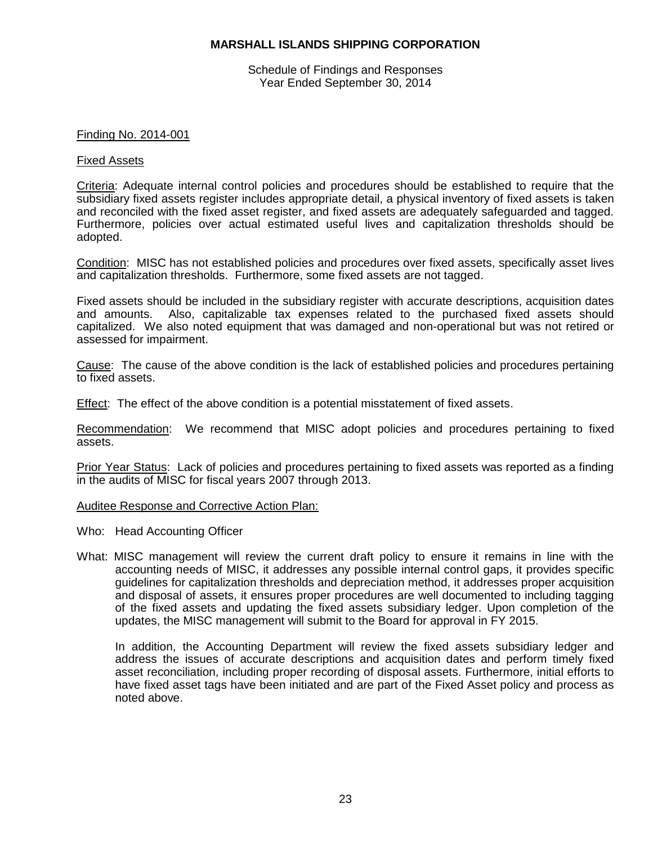Schedule of Findings and Responses Year Ended September 30, 2014

#### Finding No. 2014-001

#### Fixed Assets

Criteria: Adequate internal control policies and procedures should be established to require that the subsidiary fixed assets register includes appropriate detail, a physical inventory of fixed assets is taken and reconciled with the fixed asset register, and fixed assets are adequately safeguarded and tagged. Furthermore, policies over actual estimated useful lives and capitalization thresholds should be adopted.

Condition: MISC has not established policies and procedures over fixed assets, specifically asset lives and capitalization thresholds. Furthermore, some fixed assets are not tagged.

Fixed assets should be included in the subsidiary register with accurate descriptions, acquisition dates and amounts. Also, capitalizable tax expenses related to the purchased fixed assets should capitalized. We also noted equipment that was damaged and non-operational but was not retired or assessed for impairment.

Cause: The cause of the above condition is the lack of established policies and procedures pertaining to fixed assets.

Effect: The effect of the above condition is a potential misstatement of fixed assets.

Recommendation: We recommend that MISC adopt policies and procedures pertaining to fixed assets.

Prior Year Status: Lack of policies and procedures pertaining to fixed assets was reported as a finding in the audits of MISC for fiscal years 2007 through 2013.

Auditee Response and Corrective Action Plan:

- Who: Head Accounting Officer
- What: MISC management will review the current draft policy to ensure it remains in line with the accounting needs of MISC, it addresses any possible internal control gaps, it provides specific guidelines for capitalization thresholds and depreciation method, it addresses proper acquisition and disposal of assets, it ensures proper procedures are well documented to including tagging of the fixed assets and updating the fixed assets subsidiary ledger. Upon completion of the updates, the MISC management will submit to the Board for approval in FY 2015.

In addition, the Accounting Department will review the fixed assets subsidiary ledger and address the issues of accurate descriptions and acquisition dates and perform timely fixed asset reconciliation, including proper recording of disposal assets. Furthermore, initial efforts to have fixed asset tags have been initiated and are part of the Fixed Asset policy and process as noted above.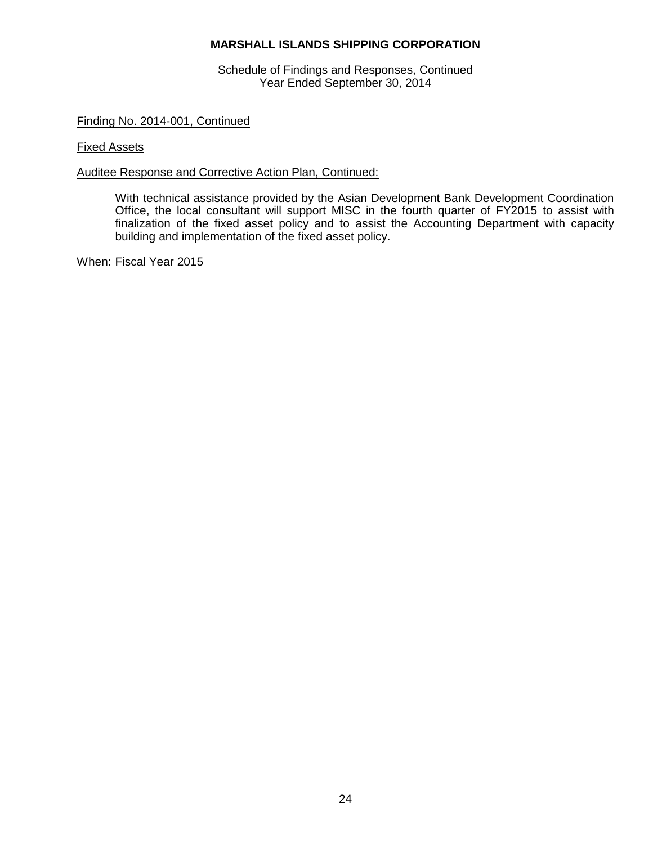Schedule of Findings and Responses, Continued Year Ended September 30, 2014

# Finding No. 2014-001, Continued

### Fixed Assets

## Auditee Response and Corrective Action Plan, Continued:

With technical assistance provided by the Asian Development Bank Development Coordination Office, the local consultant will support MISC in the fourth quarter of FY2015 to assist with finalization of the fixed asset policy and to assist the Accounting Department with capacity building and implementation of the fixed asset policy.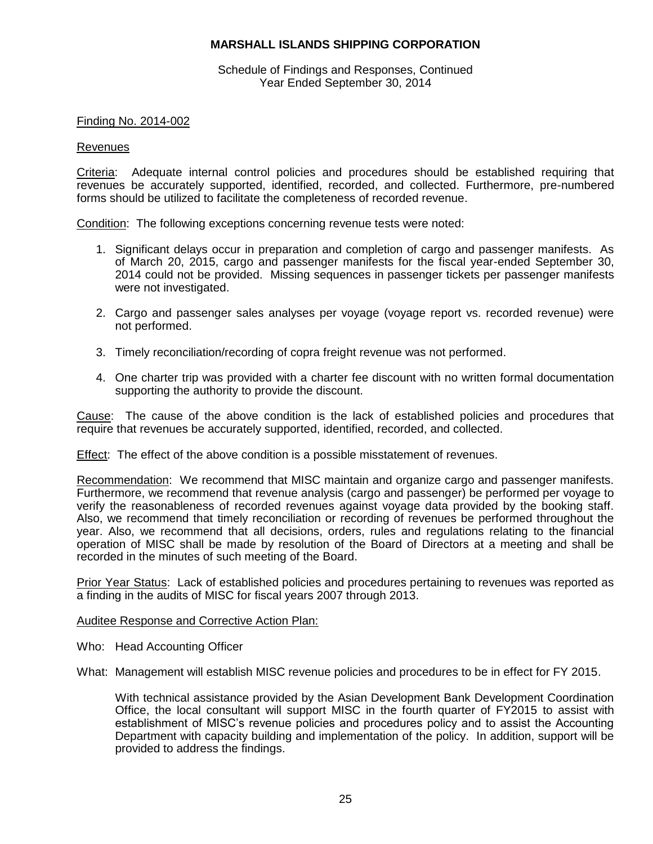Schedule of Findings and Responses, Continued Year Ended September 30, 2014

### Finding No. 2014-002

#### Revenues

Criteria: Adequate internal control policies and procedures should be established requiring that revenues be accurately supported, identified, recorded, and collected. Furthermore, pre-numbered forms should be utilized to facilitate the completeness of recorded revenue.

Condition: The following exceptions concerning revenue tests were noted:

- 1. Significant delays occur in preparation and completion of cargo and passenger manifests. As of March 20, 2015, cargo and passenger manifests for the fiscal year-ended September 30, 2014 could not be provided. Missing sequences in passenger tickets per passenger manifests were not investigated.
- 2. Cargo and passenger sales analyses per voyage (voyage report vs. recorded revenue) were not performed.
- 3. Timely reconciliation/recording of copra freight revenue was not performed.
- 4. One charter trip was provided with a charter fee discount with no written formal documentation supporting the authority to provide the discount.

Cause: The cause of the above condition is the lack of established policies and procedures that require that revenues be accurately supported, identified, recorded, and collected.

Effect: The effect of the above condition is a possible misstatement of revenues.

Recommendation: We recommend that MISC maintain and organize cargo and passenger manifests. Furthermore, we recommend that revenue analysis (cargo and passenger) be performed per voyage to verify the reasonableness of recorded revenues against voyage data provided by the booking staff. Also, we recommend that timely reconciliation or recording of revenues be performed throughout the year. Also, we recommend that all decisions, orders, rules and regulations relating to the financial operation of MISC shall be made by resolution of the Board of Directors at a meeting and shall be recorded in the minutes of such meeting of the Board.

Prior Year Status: Lack of established policies and procedures pertaining to revenues was reported as a finding in the audits of MISC for fiscal years 2007 through 2013.

Auditee Response and Corrective Action Plan:

Who: Head Accounting Officer

What: Management will establish MISC revenue policies and procedures to be in effect for FY 2015.

With technical assistance provided by the Asian Development Bank Development Coordination Office, the local consultant will support MISC in the fourth quarter of FY2015 to assist with establishment of MISC's revenue policies and procedures policy and to assist the Accounting Department with capacity building and implementation of the policy. In addition, support will be provided to address the findings.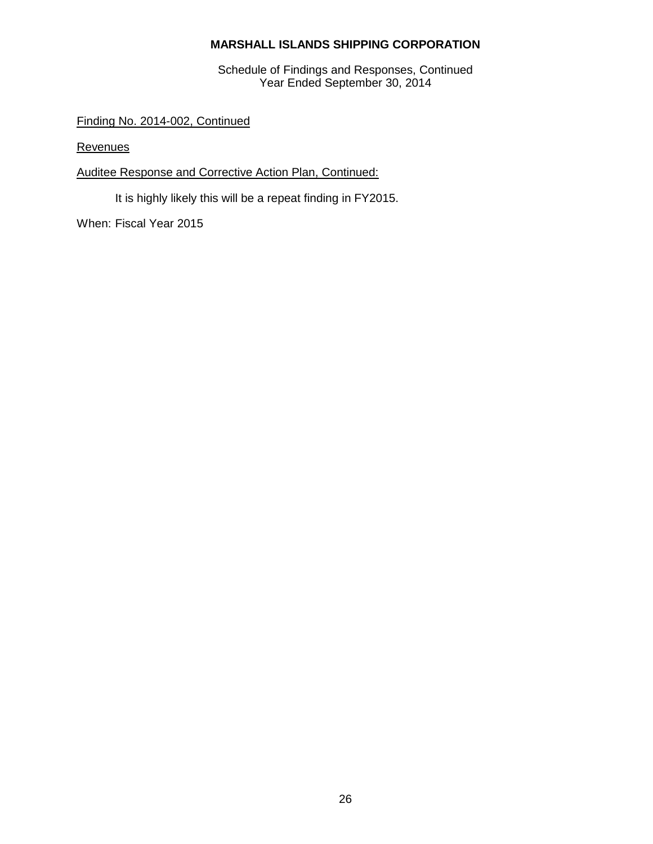Schedule of Findings and Responses, Continued Year Ended September 30, 2014

Finding No. 2014-002, Continued

**Revenues** 

# Auditee Response and Corrective Action Plan, Continued:

It is highly likely this will be a repeat finding in FY2015.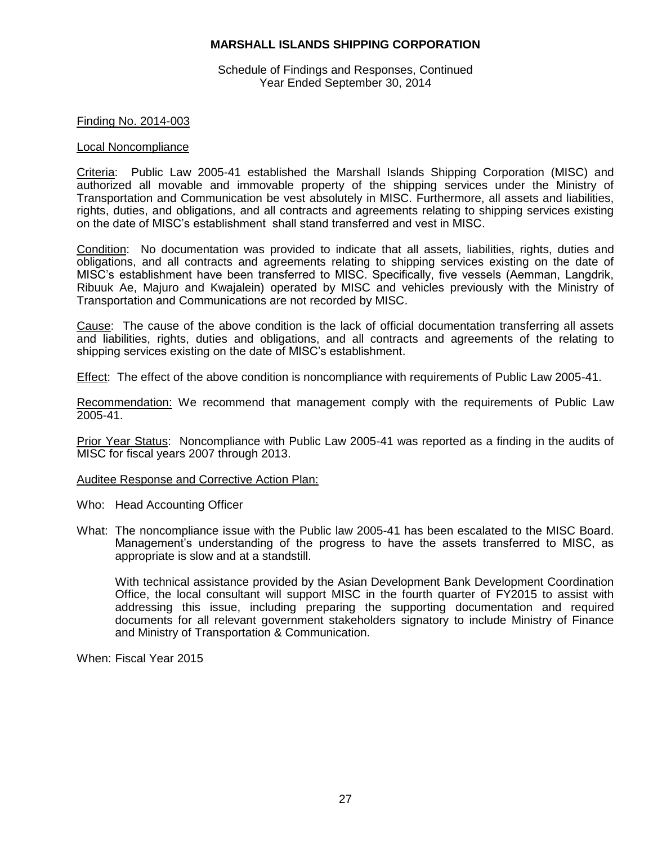Schedule of Findings and Responses, Continued Year Ended September 30, 2014

### Finding No. 2014-003

#### Local Noncompliance

Criteria: Public Law 2005-41 established the Marshall Islands Shipping Corporation (MISC) and authorized all movable and immovable property of the shipping services under the Ministry of Transportation and Communication be vest absolutely in MISC. Furthermore, all assets and liabilities, rights, duties, and obligations, and all contracts and agreements relating to shipping services existing on the date of MISC's establishment shall stand transferred and vest in MISC.

Condition: No documentation was provided to indicate that all assets, liabilities, rights, duties and obligations, and all contracts and agreements relating to shipping services existing on the date of MISC's establishment have been transferred to MISC. Specifically, five vessels (Aemman, Langdrik, Ribuuk Ae, Majuro and Kwajalein) operated by MISC and vehicles previously with the Ministry of Transportation and Communications are not recorded by MISC.

Cause: The cause of the above condition is the lack of official documentation transferring all assets and liabilities, rights, duties and obligations, and all contracts and agreements of the relating to shipping services existing on the date of MISC's establishment.

Effect: The effect of the above condition is noncompliance with requirements of Public Law 2005-41.

Recommendation: We recommend that management comply with the requirements of Public Law 2005-41.

Prior Year Status: Noncompliance with Public Law 2005-41 was reported as a finding in the audits of MISC for fiscal years 2007 through 2013.

#### Auditee Response and Corrective Action Plan:

- Who: Head Accounting Officer
- What: The noncompliance issue with the Public law 2005-41 has been escalated to the MISC Board. Management's understanding of the progress to have the assets transferred to MISC, as appropriate is slow and at a standstill.

With technical assistance provided by the Asian Development Bank Development Coordination Office, the local consultant will support MISC in the fourth quarter of FY2015 to assist with addressing this issue, including preparing the supporting documentation and required documents for all relevant government stakeholders signatory to include Ministry of Finance and Ministry of Transportation & Communication.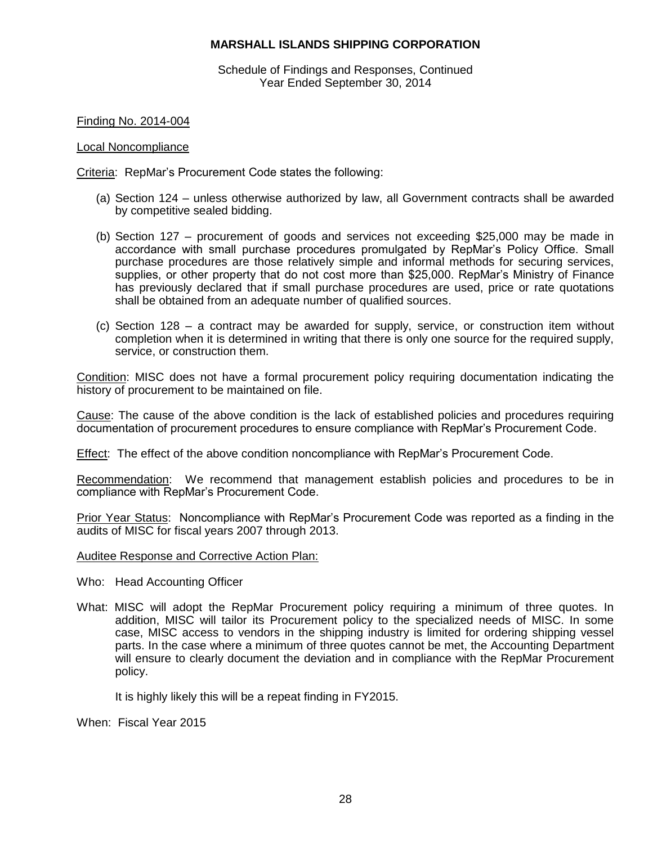Schedule of Findings and Responses, Continued Year Ended September 30, 2014

Finding No. 2014-004

### Local Noncompliance

Criteria: RepMar's Procurement Code states the following:

- (a) Section 124 unless otherwise authorized by law, all Government contracts shall be awarded by competitive sealed bidding.
- (b) Section 127 procurement of goods and services not exceeding \$25,000 may be made in accordance with small purchase procedures promulgated by RepMar's Policy Office. Small purchase procedures are those relatively simple and informal methods for securing services, supplies, or other property that do not cost more than \$25,000. RepMar's Ministry of Finance has previously declared that if small purchase procedures are used, price or rate quotations shall be obtained from an adequate number of qualified sources.
- (c) Section 128 a contract may be awarded for supply, service, or construction item without completion when it is determined in writing that there is only one source for the required supply, service, or construction them.

Condition: MISC does not have a formal procurement policy requiring documentation indicating the history of procurement to be maintained on file.

Cause: The cause of the above condition is the lack of established policies and procedures requiring documentation of procurement procedures to ensure compliance with RepMar's Procurement Code.

Effect: The effect of the above condition noncompliance with RepMar's Procurement Code.

Recommendation: We recommend that management establish policies and procedures to be in compliance with RepMar's Procurement Code.

Prior Year Status: Noncompliance with RepMar's Procurement Code was reported as a finding in the audits of MISC for fiscal years 2007 through 2013.

Auditee Response and Corrective Action Plan:

- Who: Head Accounting Officer
- What: MISC will adopt the RepMar Procurement policy requiring a minimum of three quotes. In addition, MISC will tailor its Procurement policy to the specialized needs of MISC. In some case, MISC access to vendors in the shipping industry is limited for ordering shipping vessel parts. In the case where a minimum of three quotes cannot be met, the Accounting Department will ensure to clearly document the deviation and in compliance with the RepMar Procurement policy.

It is highly likely this will be a repeat finding in FY2015.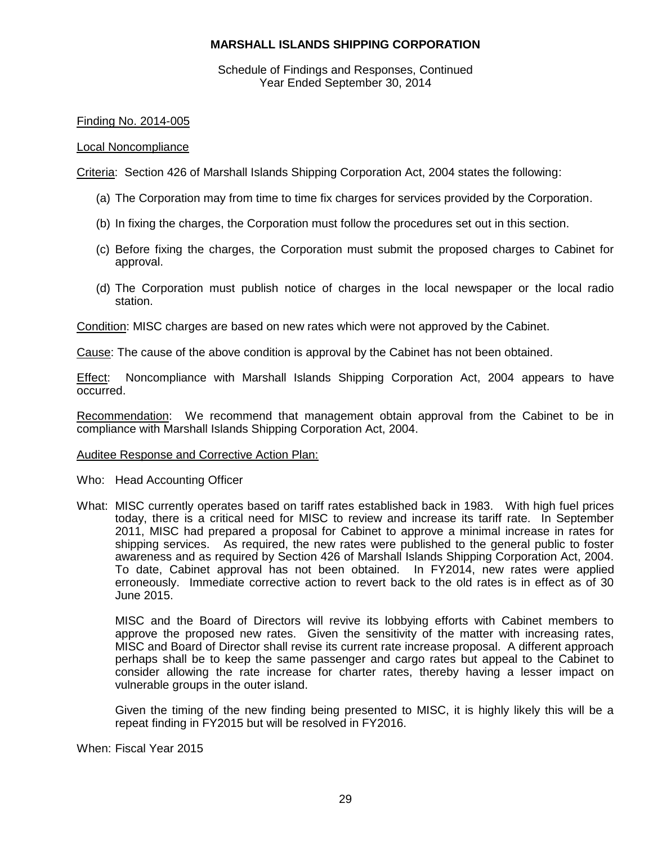Schedule of Findings and Responses, Continued Year Ended September 30, 2014

## Finding No. 2014-005

#### Local Noncompliance

Criteria: Section 426 of Marshall Islands Shipping Corporation Act, 2004 states the following:

- (a) The Corporation may from time to time fix charges for services provided by the Corporation.
- (b) In fixing the charges, the Corporation must follow the procedures set out in this section.
- (c) Before fixing the charges, the Corporation must submit the proposed charges to Cabinet for approval.
- (d) The Corporation must publish notice of charges in the local newspaper or the local radio station.

Condition: MISC charges are based on new rates which were not approved by the Cabinet.

Cause: The cause of the above condition is approval by the Cabinet has not been obtained.

**Effect:** Noncompliance with Marshall Islands Shipping Corporation Act, 2004 appears to have occurred.

Recommendation: We recommend that management obtain approval from the Cabinet to be in compliance with Marshall Islands Shipping Corporation Act, 2004.

#### Auditee Response and Corrective Action Plan:

Who: Head Accounting Officer

What: MISC currently operates based on tariff rates established back in 1983. With high fuel prices today, there is a critical need for MISC to review and increase its tariff rate. In September 2011, MISC had prepared a proposal for Cabinet to approve a minimal increase in rates for shipping services. As required, the new rates were published to the general public to foster awareness and as required by Section 426 of Marshall Islands Shipping Corporation Act, 2004. To date, Cabinet approval has not been obtained. In FY2014, new rates were applied erroneously. Immediate corrective action to revert back to the old rates is in effect as of 30 June 2015.

MISC and the Board of Directors will revive its lobbying efforts with Cabinet members to approve the proposed new rates. Given the sensitivity of the matter with increasing rates, MISC and Board of Director shall revise its current rate increase proposal. A different approach perhaps shall be to keep the same passenger and cargo rates but appeal to the Cabinet to consider allowing the rate increase for charter rates, thereby having a lesser impact on vulnerable groups in the outer island.

Given the timing of the new finding being presented to MISC, it is highly likely this will be a repeat finding in FY2015 but will be resolved in FY2016.